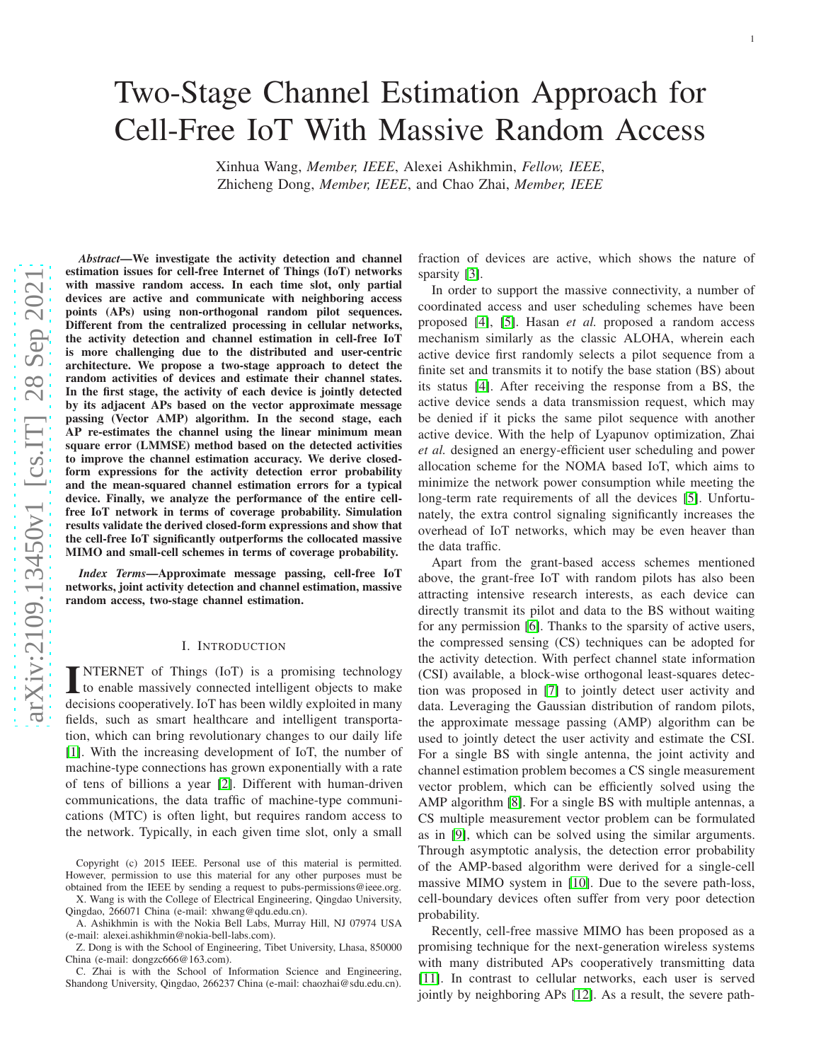# arXiv:2109.13450v1 [cs.IT] 28 Sep 2021 [arXiv:2109.13450v1 \[cs.IT\] 28 Sep 2021](http://arxiv.org/abs/2109.13450v1)

# Two-Stage Channel Estimation Approach for Cell-Free IoT With Massive Random Access

Xinhua Wang, *Member, IEEE*, Alexei Ashikhmin, *Fellow, IEEE* , Zhicheng Dong, *Member, IEEE*, and Chao Zhai, *Member, IEEE*

*Abstract*—We investigate the activity detection and channel estimation issues for cell-free Internet of Things (IoT) networks with massive random access. In each time slot, only partial devices are active and communicate with neighboring access points (APs) using non-orthogonal random pilot sequences. Different from the centralized processing in cellular networks, the activity detection and channel estimation in cell-free IoT is more challenging due to the distributed and user-centric architecture. We propose a two-stage approach to detect the random activities of devices and estimate their channel states. In the first stage, the activity of each device is jointly detected by its adjacent APs based on the vector approximate message passing (Vector AMP) algorithm. In the second stage, each AP re-estimates the channel using the linear minimum mean square error (LMMSE) method based on the detected activitie s to improve the channel estimation accuracy. We derive closedform expressions for the activity detection error probability and the mean-squared channel estimation errors for a typica l device. Finally, we analyze the performance of the entire cellfree IoT network in terms of coverage probability. Simulation results validate the derived closed-form expressions and show that the cell-free IoT significantly outperforms the collocated massive MIMO and small-cell schemes in terms of coverage probability.

*Index Terms*—Approximate message passing, cell-free IoT networks, joint activity detection and channel estimation, massive random access, two-stage channel estimation.

#### I. INTRODUCTION

**INTERNET** of Things (IoT) is a promising technology to enable massively connected intelligent objects to make to enable massively connected intelligent objects to make decisions cooperatively. IoT has been wildly exploited in many fields, such as smart healthcare and intelligent transportation, which can bring revolutionary changes to our daily life [1]. With the increasing development of IoT, the number of machine-type connections has grown exponentially with a rate of tens of billions a year [2]. Different with human-driven communications, the data traffic of machine-type communications (MTC) is often light, but requires random access to the network. Typically, in each given time slot, only a small

Copyright (c) 2015 IEEE. Personal use of this material is permitted. However, permission to use this material for any other purposes must be obtained from the IEEE by sending a request to pubs-permissions@ieee.org.

X. Wang is with the College of Electrical Engineering, Qingdao University, Qingdao, 266071 China (e-mail: xhwang@qdu.edu.cn).

A. Ashikhmin is with the Nokia Bell Labs, Murray Hill, NJ 07974 USA (e-mail: alexei.ashikhmin@nokia-bell-labs.com).

Z. Dong is with the School of Engineering, Tibet University, Lhasa, 850000 China (e-mail: dongzc666@163.com).

C. Zhai is with the School of Information Science and Engineering, Shandong University, Qingdao, 266237 China (e-mail: chaozhai@sdu.edu.cn). fraction of devices are active, which shows the nature of sparsity [3].

In order to support the massive connectivity, a number of coordinated access and user scheduling schemes have been proposed [4], [5]. Hasan *et al.* proposed a random access mechanism similarly as the classic ALOHA, wherein each active device first randomly selects a pilot sequence from a finite set and transmits it to notify the base station (BS) about its status [4]. After receiving the response from a BS, the active device sends a data transmission request, which may be denied if it picks the same pilot sequence with another active device. With the help of Lyapunov optimization, Zhai *et al.* designed an energy-efficient user scheduling and power allocation scheme for the NOMA based IoT, which aims to minimize the network power consumption while meeting the long-term rate requirements of all the devices [5]. Unfortu nately, the extra control signaling significantly increases the overhead of IoT networks, which may be even heaver than the data traffic.

Apart from the grant-based access schemes mentioned above, the grant-free IoT with random pilots has also been attracting intensive research interests, as each device ca n directly transmit its pilot and data to the BS without waitin g for any permission [6]. Thanks to the sparsity of active users, the compressed sensing (CS) techniques can be adopted for the activity detection. With perfect channel state information (CSI) available, a block-wise orthogonal least-squares detection was proposed in [7] to jointly detect user activity and data. Leveraging the Gaussian distribution of random pilots, the approximate message passing (AMP) algorithm can be used to jointly detect the user activity and estimate the CSI . For a single BS with single antenna, the joint activity and channel estimation problem becomes a CS single measurement vector problem, which can be efficiently solved using the AMP algorithm [8]. For a single BS with multiple antennas, a CS multiple measurement vector problem can be formulated as in [9], which can be solved using the similar arguments. Through asymptotic analysis, the detection error probability of the AMP-based algorithm were derived for a single-cell massive MIMO system in [10]. Due to the severe path-loss, cell-boundary devices often suffer from very poor detectio n probability.

Recently, cell-free massive MIMO has been proposed as a promising technique for the next-generation wireless systems with many distributed APs cooperatively transmitting data [11]. In contrast to cellular networks, each user is served jointly by neighboring APs [12]. As a result, the severe path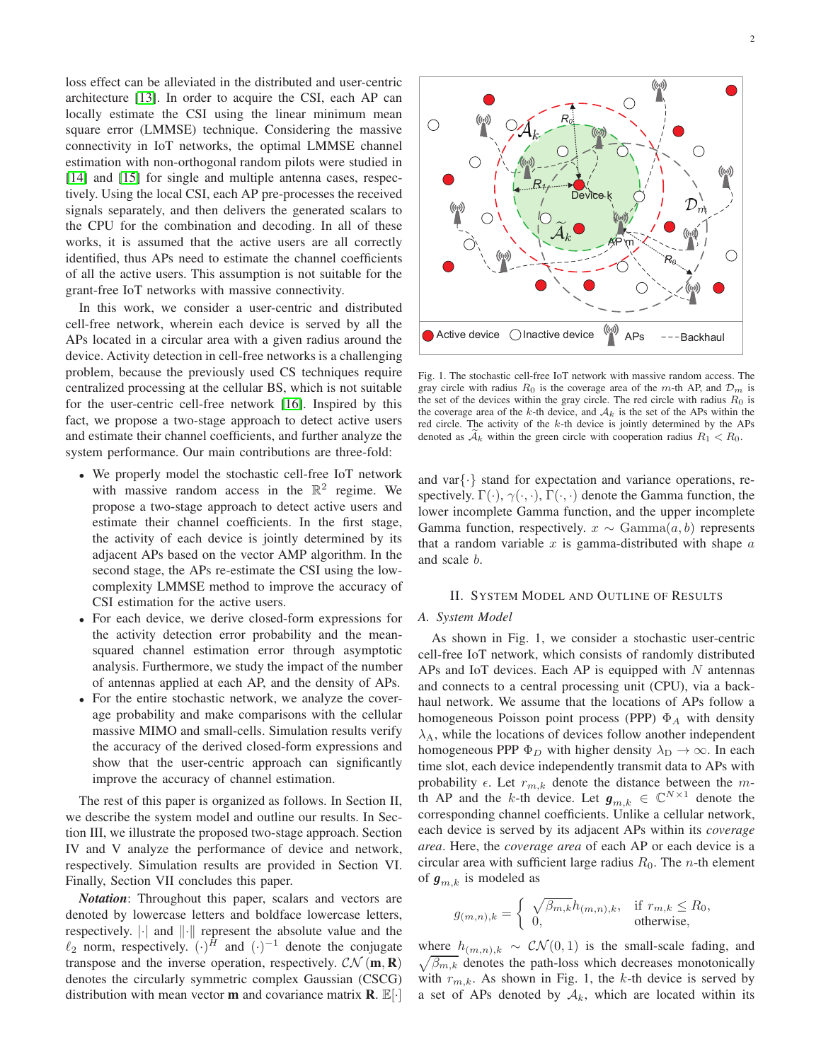loss effect can be alleviated in the distributed and user-centric architecture [13]. In order to acquire the CSI, each AP can locally estimate the CSI using the linear minimum mean square error (LMMSE) technique. Considering the massive connectivity in IoT networks, the optimal LMMSE channel estimation with non-orthogonal random pilots were studied in [\[14\]](#page-12-0) and [15] for single and multiple antenna cases, respectively. Using the local CSI, each AP pre-processes the received signals separately, and then delivers the generated scalars to the CPU for the combination and decoding. In all of these works, it is assumed that the active users are all correctly identified, thus APs need to estimate the channel coefficients of all the active users. This assumption is not suitable for the grant-free IoT networks with massive connectivity.

In this work, we consider a user-centric and distributed cell-free network, wherein each device is served by all the APs located in a circular area with a given radius around the device. Activity detection in cell-free networks is a challenging problem, because the previously used CS techniques require centralized processing at the cellular BS, which is not suitable for the user-centric cell-free network [16]. Inspired by this fact, we propose a two-stage approach to detect active users and estimate their channel coefficients, and further analyze the system performance. Our main contributions are three-fold:

- We properly model the stochastic cell-free IoT network with massive random access in the  $\mathbb{R}^2$  regime. We propose a two-stage approach to detect active users and estimate their channel coefficients. In the first stage, the activity of each device is jointly determined by its adjacent APs based on the vector AMP algorithm. In the second stage, the APs re-estimate the CSI using the lowcomplexity LMMSE method to improve the accuracy of CSI estimation for the active users.
- For each device, we derive closed-form expressions for the activity detection error probability and the meansquared channel estimation error through asymptotic analysis. Furthermore, we study the impact of the number of antennas applied at each AP, and the density of APs.
- For the entire stochastic network, we analyze the coverage probability and make comparisons with the cellular massive MIMO and small-cells. Simulation results verify the accuracy of the derived closed-form expressions and show that the user-centric approach can significantly improve the accuracy of channel estimation.

The rest of this paper is organized as follows. In Section II, we describe the system model and outline our results. In Section III, we illustrate the proposed two-stage approach. Section IV and V analyze the performance of device and network, respectively. Simulation results are provided in Section VI. Finally, Section VII concludes this paper.

*Notation*: Throughout this paper, scalars and vectors are denoted by lowercase letters and boldface lowercase letters, respectively.  $\lVert \cdot \rVert$  and  $\lVert \cdot \rVert$  represent the absolute value and the  $\ell_2$  norm, respectively.  $(\cdot)^H$  and  $(\cdot)^{-1}$  denote the conjugate transpose and the inverse operation, respectively.  $CN(m, R)$ denotes the circularly symmetric complex Gaussian (CSCG) distribution with mean vector **m** and covariance matrix **R**.  $\mathbb{E}[\cdot]$ 



Fig. 1. The stochastic cell-free IoT network with massive random access. The gray circle with radius  $R_0$  is the coverage area of the m-th AP, and  $\mathcal{D}_m$  is the set of the devices within the gray circle. The red circle with radius  $R_0$  is the coverage area of the k-th device, and  $A_k$  is the set of the APs within the red circle. The activity of the  $k$ -th device is jointly determined by the APs denoted as  $A_k$  within the green circle with cooperation radius  $R_1 < R_0$ .

and var $\{\cdot\}$  stand for expectation and variance operations, respectively.  $\Gamma(\cdot)$ ,  $\gamma(\cdot, \cdot)$ ,  $\Gamma(\cdot, \cdot)$  denote the Gamma function, the lower incomplete Gamma function, and the upper incomplete Gamma function, respectively.  $x \sim \text{Gamma}(a, b)$  represents that a random variable  $x$  is gamma-distributed with shape  $a$ and scale b.

#### II. SYSTEM MODEL AND OUTLINE OF RESULTS

#### *A. System Model*

As shown in Fig. 1, we consider a stochastic user-centric cell-free IoT network, which consists of randomly distributed APs and IoT devices. Each AP is equipped with  $N$  antennas and connects to a central processing unit (CPU), via a backhaul network. We assume that the locations of APs follow a homogeneous Poisson point process (PPP)  $\Phi_A$  with density  $\lambda_A$ , while the locations of devices follow another independent homogeneous PPP  $\Phi_D$  with higher density  $\lambda_D \to \infty$ . In each time slot, each device independently transmit data to APs with probability  $\epsilon$ . Let  $r_{m,k}$  denote the distance between the mth AP and the k-th device. Let  $g_{m,k} \in \mathbb{C}^{N \times 1}$  denote the corresponding channel coefficients. Unlike a cellular network, each device is served by its adjacent APs within its *coverage area*. Here, the *coverage area* of each AP or each device is a circular area with sufficient large radius  $R_0$ . The *n*-th element of  $\boldsymbol{g}_{m,k}$  is modeled as

$$
g_{(m,n),k} = \begin{cases} \sqrt{\beta_{m,k}} h_{(m,n),k}, & \text{if } r_{m,k} \le R_0, \\ 0, & \text{otherwise,} \end{cases}
$$

where  $h_{(m,n),k} \sim \mathcal{CN}(0,1)$  is the small-scale fading, and  $\sqrt{\beta_{m,k}}$  denotes the path-loss which decreases monotonically with  $r_{m,k}$ . As shown in Fig. 1, the k-th device is served by a set of APs denoted by  $A_k$ , which are located within its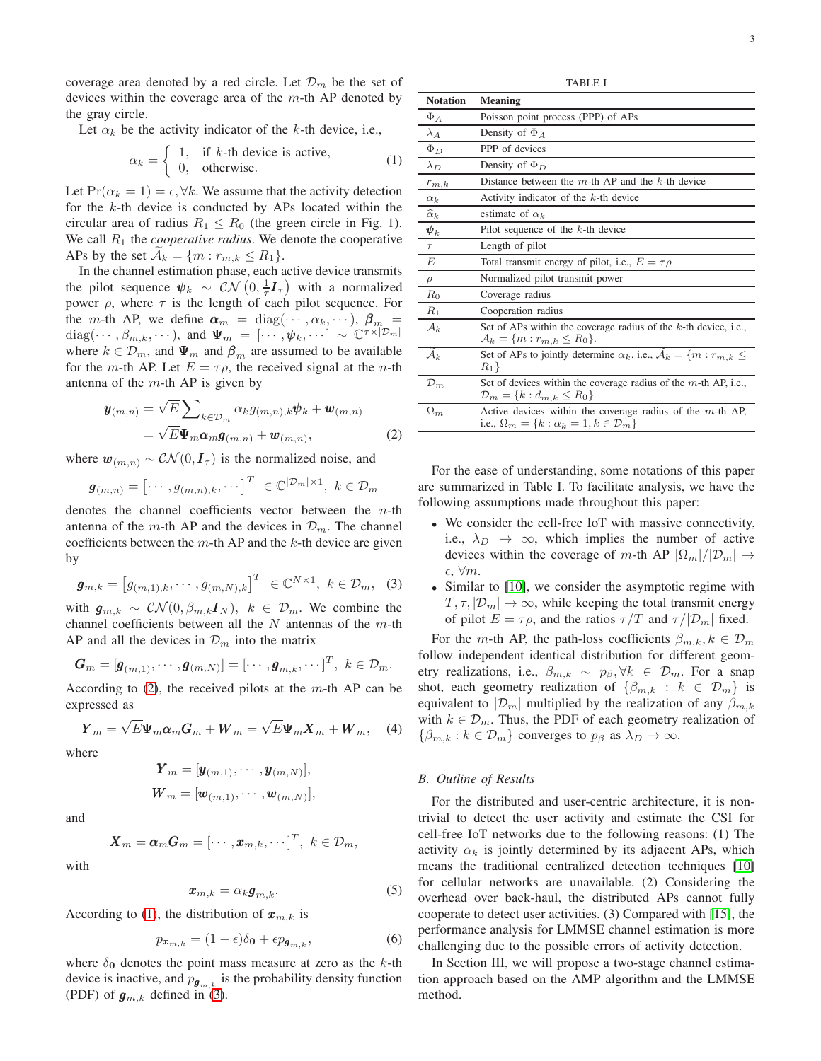coverage area denoted by a red circle. Let  $\mathcal{D}_m$  be the set of devices within the coverage area of the  $m$ -th AP denoted by the gray circle.

Let  $\alpha_k$  be the activity indicator of the k-th device, i.e.,

$$
\alpha_k = \begin{cases} 1, & \text{if } k \text{-th device is active,} \\ 0, & \text{otherwise.} \end{cases}
$$
 (1)

Let  $Pr(\alpha_k = 1) = \epsilon, \forall k$ . We assume that the activity detection for the  $k$ -th device is conducted by APs located within the circular area of radius  $R_1 \leq R_0$  (the green circle in Fig. 1). We call  $R_1$  the *cooperative radius*. We denote the cooperative APs by the set  $\mathcal{A}_k = \{m : r_{m,k} \leq R_1\}.$ 

In the channel estimation phase, each active device transmits the pilot sequence  $\psi_k \sim \mathcal{CN}\left(0, \frac{1}{\tau}I_{\tau}\right)$  with a normalized power  $\rho$ , where  $\tau$  is the length of each pilot sequence. For the m-th AP, we define  $\boldsymbol{\alpha}_m = \text{diag}(\cdots, \alpha_k, \cdots), \ \boldsymbol{\beta}_m =$ diag $(\cdots, \beta_{m,k}, \cdots)$ , and  $\Psi_m = [\cdots, \psi_k, \cdots] \sim \mathbb{C}^{\tau \times |\mathcal{D}_m|}$ where  $k \in \mathcal{D}_m$ , and  $\Psi_m$  and  $\beta_m$  are assumed to be available for the *m*-th AP. Let  $E = \tau \rho$ , the received signal at the *n*-th antenna of the  $m$ -th AP is given by

$$
\mathbf{y}_{(m,n)} = \sqrt{E} \sum_{k \in \mathcal{D}_m} \alpha_k g_{(m,n),k} \psi_k + \mathbf{w}_{(m,n)} \n= \sqrt{E} \mathbf{\Psi}_m \mathbf{\alpha}_m \mathbf{g}_{(m,n)} + \mathbf{w}_{(m,n)},
$$
\n(2)

where  $\mathbf{w}_{(m,n)} \sim \mathcal{CN}(0, \mathbf{I}_{\tau})$  is the normalized noise, and

$$
\boldsymbol{g}_{(m,n)} = \begin{bmatrix} \cdots & g_{(m,n),k}, \cdots \end{bmatrix}^T \in \mathbb{C}^{|\mathcal{D}_m| \times 1}, \ k \in \mathcal{D}_m
$$

denotes the channel coefficients vector between the  $n$ -th antenna of the m-th AP and the devices in  $\mathcal{D}_m$ . The channel coefficients between the  $m$ -th AP and the  $k$ -th device are given by

$$
\boldsymbol{g}_{m,k} = \begin{bmatrix} g_{(m,1),k}, \cdots, g_{(m,N),k} \end{bmatrix}^T \in \mathbb{C}^{N \times 1}, k \in \mathcal{D}_m, (3)
$$

with  $g_{m,k} \sim \mathcal{CN}(0, \beta_{m,k}I_N), k \in \mathcal{D}_m$ . We combine the channel coefficients between all the  $N$  antennas of the  $m$ -th AP and all the devices in  $\mathcal{D}_m$  into the matrix

$$
\mathbf{G}_m = [\mathbf{g}_{(m,1)}, \cdots, \mathbf{g}_{(m,N)}] = [\cdots, \mathbf{g}_{m,k}, \cdots]^T, k \in \mathcal{D}_m.
$$

According to  $(2)$ , the received pilots at the m-th AP can be expressed as

$$
\boldsymbol{Y}_{m} = \sqrt{E} \boldsymbol{\Psi}_{m} \boldsymbol{\alpha}_{m} \boldsymbol{G}_{m} + \boldsymbol{W}_{m} = \sqrt{E} \boldsymbol{\Psi}_{m} \boldsymbol{X}_{m} + \boldsymbol{W}_{m}, \quad (4)
$$

where

$$
\mathbf{Y}_m = [\mathbf{y}_{(m,1)}, \cdots, \mathbf{y}_{(m,N)}],
$$
  

$$
\mathbf{W}_m = [\mathbf{w}_{(m,1)}, \cdots, \mathbf{w}_{(m,N)}],
$$

and

$$
\boldsymbol{X}_m = \boldsymbol{\alpha}_m \boldsymbol{G}_m = [\cdots, \boldsymbol{x}_{m,k}, \cdots]^T, \, \, k \in \mathcal{D}_m,
$$

with

$$
\boldsymbol{x}_{m,k} = \alpha_k \boldsymbol{g}_{m,k}.\tag{5}
$$

According to [\(1\)](#page-2-1), the distribution of  $x_{m,k}$  is

$$
p_{\boldsymbol{x}_{m,k}} = (1 - \epsilon)\delta_{\boldsymbol{0}} + \epsilon p_{\boldsymbol{g}_{m,k}},\tag{6}
$$

where  $\delta_0$  denotes the point mass measure at zero as the k-th device is inactive, and  $p_{g_{m,k}}$  is the probability density function (PDF) of  $\mathbf{g}_{m,k}$  defined in [\(3\)](#page-2-2).

TABLE I

<span id="page-2-1"></span>

| <b>Notation</b>             | <b>Meaning</b>                                                                                                               |
|-----------------------------|------------------------------------------------------------------------------------------------------------------------------|
| $\Phi_A$                    | Poisson point process (PPP) of APs                                                                                           |
| $\lambda_A$                 | Density of $\Phi_A$                                                                                                          |
| $\Phi_D$                    | PPP of devices                                                                                                               |
| $\lambda_D$                 | Density of $\Phi_D$                                                                                                          |
| $r_{m,k}$                   | Distance between the $m$ -th AP and the $k$ -th device                                                                       |
| $\alpha_k$                  | Activity indicator of the $k$ -th device                                                                                     |
| $\widehat{\alpha}_k$        | estimate of $\alpha_k$                                                                                                       |
| $\pmb{\psi}_k$              | Pilot sequence of the $k$ -th device                                                                                         |
| $\tau$                      | Length of pilot                                                                                                              |
| $\boldsymbol{E}$            | Total transmit energy of pilot, i.e., $E = \tau \rho$                                                                        |
| $\rho$                      | Normalized pilot transmit power                                                                                              |
| $R_0$                       | Coverage radius                                                                                                              |
| $R_1$                       | Cooperation radius                                                                                                           |
| $\mathcal{A}_k$             | Set of APs within the coverage radius of the $k$ -th device, i.e.,<br>$A_k = \{m : r_{m,k} \le R_0\}.$                       |
| $\widetilde{\mathcal{A}}_k$ | Set of APs to jointly determine $\alpha_k$ , i.e., $\overline{A}_k = \{m : r_{m,k} \leq$<br>$R_1$                            |
| $\mathcal{D}_m$             | Set of devices within the coverage radius of the $m$ -th AP, i.e.,<br>$\mathcal{D}_m = \{k : d_{m,k} \leq R_0\}$             |
| $\Omega_m$                  | Active devices within the coverage radius of the $m$ -th AP,<br>i.e., $\Omega_m = \{k : \alpha_k = 1, k \in \mathcal{D}_m\}$ |
|                             |                                                                                                                              |

<span id="page-2-0"></span>For the ease of understanding, some notations of this paper are summarized in Table I. To facilitate analysis, we have the following assumptions made throughout this paper:

- We consider the cell-free IoT with massive connectivity, i.e.,  $\lambda_D \rightarrow \infty$ , which implies the number of active devices within the coverage of m-th AP  $|\Omega_m|/|\mathcal{D}_m| \to$  $\epsilon, \forall m.$
- <span id="page-2-2"></span>• Similar to [10], we consider the asymptotic regime with  $T, \tau, |\mathcal{D}_m| \to \infty$ , while keeping the total transmit energy of pilot  $E = \tau \rho$ , and the ratios  $\tau/T$  and  $\tau/|\mathcal{D}_m|$  fixed.

For the m-th AP, the path-loss coefficients  $\beta_{m,k}, k \in \mathcal{D}_m$ follow independent identical distribution for different geometry realizations, i.e.,  $\beta_{m,k} \sim p_{\beta}, \forall k \in \mathcal{D}_m$ . For a snap shot, each geometry realization of  $\{\beta_{m,k}: k \in \mathcal{D}_m\}$  is equivalent to  $|\mathcal{D}_m|$  multiplied by the realization of any  $\beta_{m,k}$ with  $k \in \mathcal{D}_m$ . Thus, the PDF of each geometry realization of  $\{\beta_{m,k} : k \in \mathcal{D}_m\}$  converges to  $p_\beta$  as  $\lambda_D \to \infty$ .

#### <span id="page-2-3"></span>*B. Outline of Results*

For the distributed and user-centric architecture, it is nontrivial to detect the user activity and estimate the CSI for cell-free IoT networks due to the following reasons: (1) The activity  $\alpha_k$  is jointly determined by its adjacent APs, which means the traditional centralized detection techniques [10] for cellular networks are unavailable. (2) Considering the overhead over back-haul, the distributed APs cannot fully cooperate to detect user activities. (3) Compared with [15], the performance analysis for LMMSE channel estimation is more challenging due to the possible errors of activity detection.

In Section III, we will propose a two-stage channel estimation approach based on the AMP algorithm and the LMMSE method.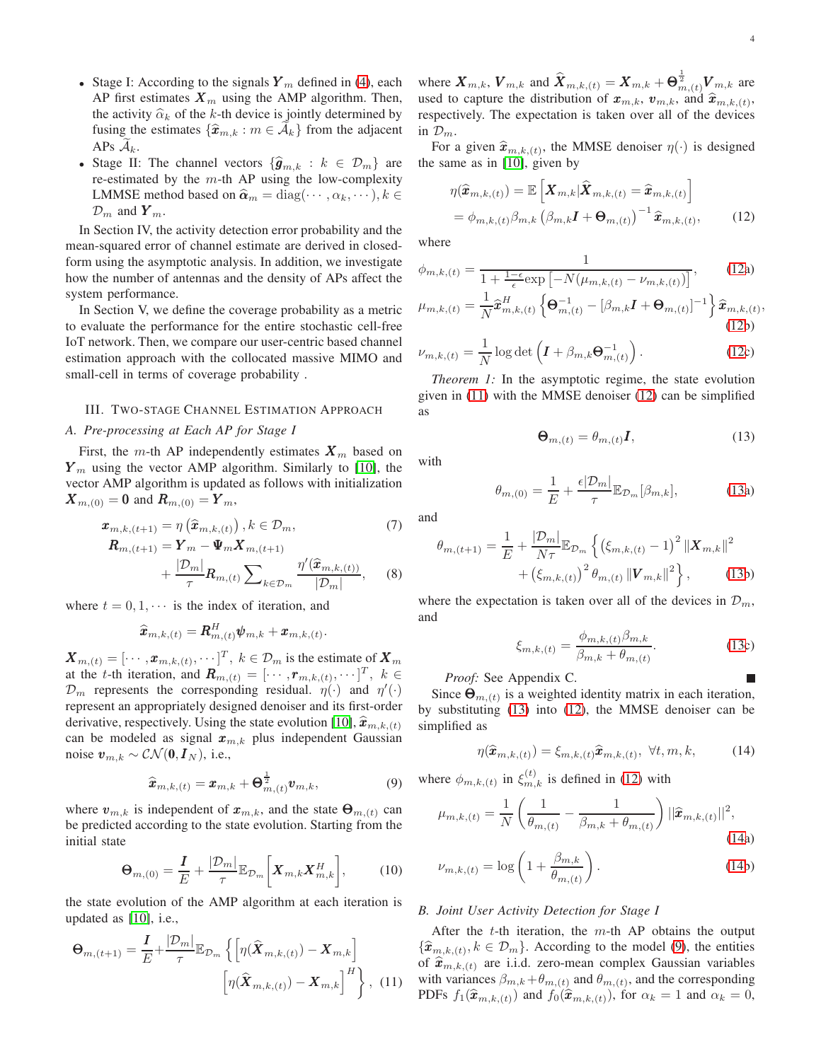- Stage I: According to the signals  $Y_m$  defined in [\(4\)](#page-2-3), each AP first estimates  $\mathbf{X}_m$  using the AMP algorithm. Then, the activity  $\hat{\alpha}_k$  of the k-th device is jointly determined by fusing the estimates  $\{\widehat{\mathbf{x}}_{m,k} : m \in \mathcal{A}_k\}$  from the adjacent APs  $A_k$ .
- Stage II: The channel vectors  $\{\widehat{\mathbf{g}}_{m,k} : k \in \mathcal{D}_m\}$  are re-estimated by the  $m$ -th AP using the low-complexity LMMSE method based on  $\hat{\boldsymbol{\alpha}}_m = \text{diag}(\cdots, \alpha_k, \cdots), k \in$  $\mathcal{D}_m$  and  $\boldsymbol{Y}_m$ .

In Section IV, the activity detection error probability and the mean-squared error of channel estimate are derived in closedform using the asymptotic analysis. In addition, we investigate how the number of antennas and the density of APs affect the system performance.

In Section V, we define the coverage probability as a metric to evaluate the performance for the entire stochastic cell-free IoT network. Then, we compare our user-centric based channel estimation approach with the collocated massive MIMO and small-cell in terms of coverage probability .

#### III. TWO-STAGE CHANNEL ESTIMATION APPROACH

#### *A. Pre-processing at Each AP for Stage I*

First, the m-th AP independently estimates  $X_m$  based on  $Y_m$  using the vector AMP algorithm. Similarly to [10], the vector AMP algorithm is updated as follows with initialization  $X_{m,(0)} = 0$  and  $R_{m,(0)} = Y_m$ ,

$$
\boldsymbol{x}_{m,k,(t+1)} = \eta\left(\widehat{\boldsymbol{x}}_{m,k,(t)}\right), k \in \mathcal{D}_m,
$$
  
\n
$$
\boldsymbol{R}_{m,(t+1)} = \boldsymbol{Y}_m - \boldsymbol{\Psi}_m \boldsymbol{X}_{m,(t+1)}
$$
\n(7)

$$
+\frac{|\mathcal{D}_m|}{\tau}R_{m,(t)}\sum_{k\in\mathcal{D}_m}\frac{\eta'(\widehat{\bm{x}}_{m,k,(t))}}{|\mathcal{D}_m|},\qquad(8)
$$

.

where  $t = 0, 1, \dots$  is the index of iteration, and

$$
\widehat{\bm{x}}_{m,k,(t)} = \bm{R}^H_{m,(t)}\bm{\psi}_{m,k} + \bm{x}_{m,k,(t)}
$$

 $\boldsymbol{X}_{m,(t)} = [\cdots, \boldsymbol{x}_{m,k,(t)}, \cdots]^T, k \in \mathcal{D}_m$  is the estimate of  $\boldsymbol{X}_m$ at the *t*-th iteration, and  $\mathbf{R}_{m,(t)} = [\cdots, \mathbf{r}_{m,k,(t)}, \cdots]^T$ ,  $k \in$  $\mathcal{D}_m$  represents the corresponding residual.  $\eta(\cdot)$  and  $\eta'(\cdot)$ represent an appropriately designed denoiser and its first-order derivative, respectively. Using the state evolution [10],  $\hat{\boldsymbol{x}}_{m,k,(t)}$ can be modeled as signal  $x_{m,k}$  plus independent Gaussian noise  $v_{m,k} \sim \mathcal{CN}(\mathbf{0}, I_N)$ , i.e.,

$$
\widehat{\boldsymbol{x}}_{m,k,(t)} = \boldsymbol{x}_{m,k} + \boldsymbol{\Theta}_{m,(t)}^{\frac{1}{2}} \boldsymbol{v}_{m,k},
$$
\n(9)

where  $v_{m,k}$  is independent of  $x_{m,k}$ , and the state  $\Theta_{m,(t)}$  can be predicted according to the state evolution. Starting from the initial state

$$
\mathbf{\Theta}_{m,(0)} = \frac{\mathbf{I}}{E} + \frac{|\mathcal{D}_m|}{\tau} \mathbb{E}_{\mathcal{D}_m} \bigg[ \mathbf{X}_{m,k} \mathbf{X}_{m,k}^H \bigg],\tag{10}
$$

the state evolution of the AMP algorithm at each iteration is updated as [10], i.e.,

$$
\mathbf{\Theta}_{m,(t+1)} = \frac{\mathbf{I}}{E} + \frac{|\mathcal{D}_m|}{\tau} \mathbb{E}_{\mathcal{D}_m} \left\{ \left[ \eta(\widehat{\mathbf{X}}_{m,k,(t)}) - \mathbf{X}_{m,k} \right] \left[ \eta(\widehat{\mathbf{X}}_{m,k,(t)}) - \mathbf{X}_{m,k} \right]^H \right\}, \tag{11}
$$

where  $\bm{X}_{m,k}$ ,  $\bm{V}_{m,k}$  and  $\widehat{\bm{X}}_{m,k,(t)} = \bm{X}_{m,k} + \bm{\Theta}^{\frac{1}{2}}_{m,(t)} \bm{V}_{m,k}$  are used to capture the distribution of  $x_{m,k}$ ,  $v_{m,k}$ , and  $\hat{x}_{m,k,(t)}$ , respectively. The expectation is taken over all of the devices in  $\mathcal{D}_m$ .

For a given  $\hat{\mathbf{x}}_{m,k,(t)}$ , the MMSE denoiser  $\eta(\cdot)$  is designed the same as in [10], given by

<span id="page-3-0"></span>
$$
\eta(\widehat{\boldsymbol{x}}_{m,k,(t)}) = \mathbb{E}\left[\boldsymbol{X}_{m,k}|\widehat{\boldsymbol{X}}_{m,k,(t)} = \widehat{\boldsymbol{x}}_{m,k,(t)}\right]
$$

$$
= \phi_{m,k,(t)}\beta_{m,k}\left(\beta_{m,k}\boldsymbol{I} + \boldsymbol{\Theta}_{m,(t)}\right)^{-1}\widehat{\boldsymbol{x}}_{m,k,(t)},\qquad(12)
$$

where

$$
\phi_{m,k,(t)} = \frac{1}{1 + \frac{1 - \epsilon}{\epsilon} \exp\left[-N(\mu_{m,k,(t)} - \nu_{m,k,(t)})\right]},\tag{12a}
$$
\n
$$
\mu_{m,k,(t)} = \frac{1}{2} \frac{1}{\hat{\sigma}^H} \left[\mathbf{A}^{-1} \left[ (R - \mathbf{I} + \mathbf{A}^{-1})^{-1} \right] \hat{\sigma} \right].
$$

$$
\mu_{m,k,(t)} = \frac{1}{N} \widehat{\mathbf{x}}_{m,k,(t)}^H \left\{ \mathbf{\Theta}_{m,(t)}^{-1} - [\beta_{m,k} I + \mathbf{\Theta}_{m,(t)}]^{-1} \right\} \widehat{\mathbf{x}}_{m,k,(t)},
$$
\n(12b)

$$
\nu_{m,k,(t)} = \frac{1}{N} \log \det \left( \boldsymbol{I} + \beta_{m,k} \boldsymbol{\Theta}_{m,(t)}^{-1} \right). \tag{12c}
$$

*Theorem 1:* In the asymptotic regime, the state evolution given in [\(11\)](#page-3-1) with the MMSE denoiser [\(12\)](#page-3-0) can be simplified as

<span id="page-3-2"></span>
$$
\mathbf{\Theta}_{m,(t)} = \theta_{m,(t)} \mathbf{I},\tag{13}
$$

with

$$
\theta_{m,(0)} = \frac{1}{E} + \frac{\epsilon |\mathcal{D}_m|}{\tau} \mathbb{E}_{\mathcal{D}_m}[\beta_{m,k}], \tag{13a}
$$

and

$$
\theta_{m,(t+1)} = \frac{1}{E} + \frac{|\mathcal{D}_m|}{N\tau} \mathbb{E}_{\mathcal{D}_m} \left\{ \left( \xi_{m,k,(t)} - 1 \right)^2 \left\| \boldsymbol{X}_{m,k} \right\|^2 + \left( \xi_{m,k,(t)} \right)^2 \theta_{m,(t)} \left\| \boldsymbol{V}_{m,k} \right\|^2 \right\}, \qquad (13b)
$$

where the expectation is taken over all of the devices in  $\mathcal{D}_m$ , and

<span id="page-3-3"></span>
$$
\xi_{m,k,(t)} = \frac{\phi_{m,k,(t)}\beta_{m,k}}{\beta_{m,k} + \theta_{m,(t)}}.
$$
\n(13c)

## *Proof:* See Appendix C.

Since  $\mathbf{\Theta}_{m,(t)}$  is a weighted identity matrix in each iteration, by substituting [\(13\)](#page-3-2) into [\(12\)](#page-3-0), the MMSE denoiser can be simplified as

$$
\eta(\widehat{\boldsymbol{x}}_{m,k,(t)}) = \xi_{m,k,(t)} \widehat{\boldsymbol{x}}_{m,k,(t)}, \ \forall t, m, k,
$$
\n(14)

<span id="page-3-4"></span>where  $\phi_{m,k,(t)}$  in  $\xi_{m,k}^{(t)}$  is defined in [\(12\)](#page-3-0) with

$$
\mu_{m,k,(t)} = \frac{1}{N} \left( \frac{1}{\theta_{m,(t)}} - \frac{1}{\beta_{m,k} + \theta_{m,(t)}} \right) ||\hat{\boldsymbol{x}}_{m,k,(t)}||^2,
$$
\n(14a)

<span id="page-3-5"></span>
$$
\nu_{m,k,(t)} = \log\left(1 + \frac{\beta_{m,k}}{\theta_{m,(t)}}\right). \tag{14b}
$$

# *B. Joint User Activity Detection for Stage I*

<span id="page-3-1"></span>After the  $t$ -th iteration, the  $m$ -th AP obtains the output  ${\widehat{x}_{m,k,(t)}^{\text{max}}}, k \in \mathcal{D}_m$ . According to the model [\(9\)](#page-3-4), the entities of  $\hat{\mathbf{x}}_{m,k,(t)}$  are i.i.d. zero-mean complex Gaussian variables with variances  $\beta_{m,k} + \theta_{m,(t)}$  and  $\theta_{m,(t)}$ , and the corresponding PDFs  $f_1(\hat{\bm{x}}_{m,k,(t)})$  and  $f_0(\hat{\bm{x}}_{m,k,(t)})$ , for  $\alpha_k = 1$  and  $\alpha_k = 0$ ,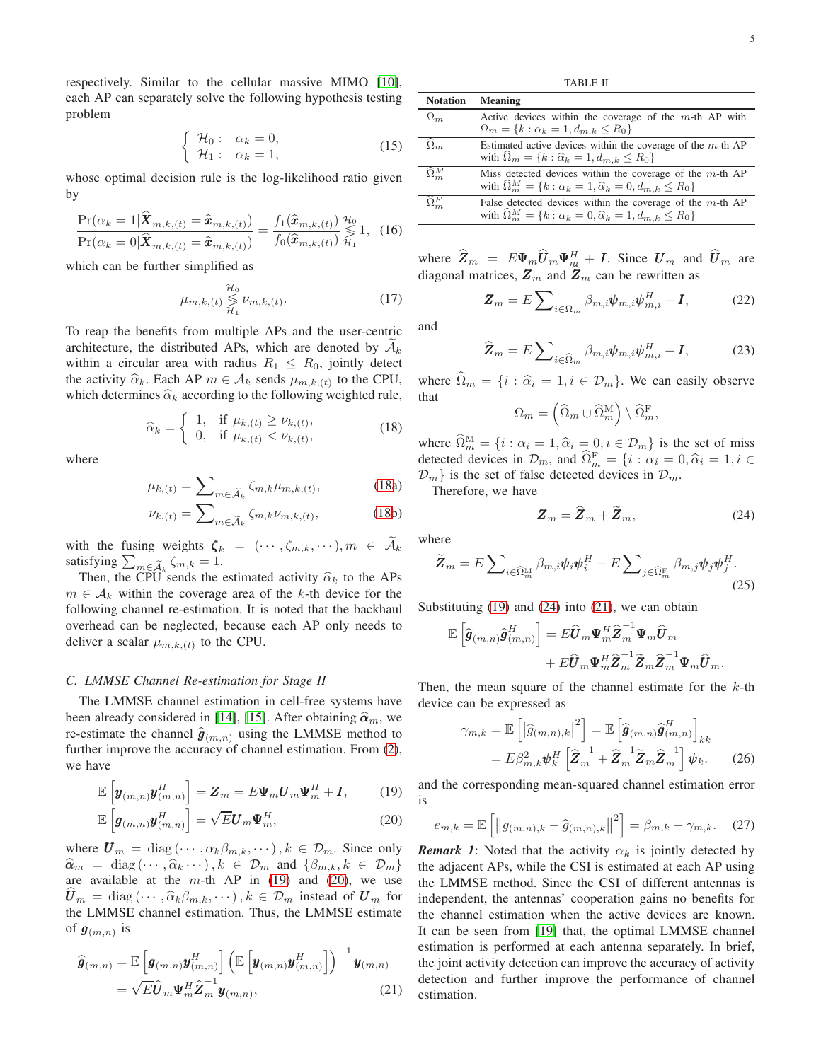respectively. Similar to the cellular massive MIMO [10], each AP can separately solve the following hypothesis testing problem

$$
\begin{cases}\n\mathcal{H}_0: \quad \alpha_k = 0, \\
\mathcal{H}_1: \quad \alpha_k = 1,\n\end{cases}
$$
\n(15)

whose optimal decision rule is the log-likelihood ratio given by

$$
\frac{\Pr(\alpha_k=1|\widehat{\boldsymbol{X}}_{m,k,(t)}=\widehat{\boldsymbol{x}}_{m,k,(t)})}{\Pr(\alpha_k=0|\widehat{\boldsymbol{X}}_{m,k,(t)}=\widehat{\boldsymbol{x}}_{m,k,(t)})}=\frac{f_1(\widehat{\boldsymbol{x}}_{m,k,(t)})}{f_0(\widehat{\boldsymbol{x}}_{m,k,(t)})}\underset{\mathcal{H}_1}{\overset{\mathcal{H}_0}{\leq}}1,\tag{16}
$$

which can be further simplified as

$$
\mu_{m,k,(t)} \underset{\mathcal{H}_1}{\overset{\mathcal{H}_0}{\lessgtr}} \nu_{m,k,(t)}.
$$
\n(17)

To reap the benefits from multiple APs and the user-centric architecture, the distributed APs, which are denoted by  $A_k$ within a circular area with radius  $R_1 \nleq R_0$ , jointly detect the activity  $\hat{\alpha}_k$ . Each AP  $m \in A_k$  sends  $\mu_{m,k,(t)}$  to the CPU, which determines  $\hat{\alpha}_k$  according to the following weighted rule,

$$
\widehat{\alpha}_k = \begin{cases} 1, & \text{if } \mu_{k,(t)} \ge \nu_{k,(t)}, \\ 0, & \text{if } \mu_{k,(t)} < \nu_{k,(t)}, \end{cases}
$$
(18)

where

$$
\mu_{k,(t)} = \sum_{m \in \widetilde{\mathcal{A}}_k} \zeta_{m,k} \mu_{m,k,(t)},\tag{18a}
$$

$$
\nu_{k,(t)} = \sum_{m \in \tilde{\mathcal{A}}_k} \zeta_{m,k} \nu_{m,k,(t)},\tag{18b}
$$

with the fusing weights  $\zeta_k = (\cdots, \zeta_{m,k}, \cdots), m \in \widetilde{A}_k$ satisfying  $\sum_{m \in \widetilde{\mathcal{A}}_k} \zeta_{m,k} = 1$ .

Then, the CPU sends the estimated activity  $\hat{\alpha}_k$  to the APs  $m \in A_k$  within the coverage area of the k-th device for the following channel re-estimation. It is noted that the backhaul overhead can be neglected, because each AP only needs to deliver a scalar  $\mu_{m,k,(t)}$  to the CPU.

#### *C. LMMSE Channel Re-estimation for Stage II*

The LMMSE channel estimation in cell-free systems have been already considered in [\[14\]](#page-12-0), [15]. After obtaining  $\hat{\boldsymbol{\alpha}}_m$ , we re-estimate the channel  $\hat{\mathbf{g}}_{(m,n)}$  using the LMMSE method to further improve the accuracy of channel estimation. From [\(2\)](#page-2-0), we have

$$
\mathbb{E}\left[\boldsymbol{y}_{(m,n)}\boldsymbol{y}_{(m,n)}^{H}\right] = \boldsymbol{Z}_{m} = E\boldsymbol{\Psi}_{m}\boldsymbol{U}_{m}\boldsymbol{\Psi}_{m}^{H} + \boldsymbol{I},\qquad(19)
$$

$$
\mathbb{E}\left[\boldsymbol{g}_{(m,n)}\boldsymbol{y}_{(m,n)}^{H}\right] = \sqrt{E}\boldsymbol{U}_{m}\boldsymbol{\Psi}_{m}^{H},\tag{20}
$$

where  $\mathbf{U}_m = \text{diag}(\cdots, \alpha_k \beta_{m,k}, \cdots), k \in \mathcal{D}_m$ . Since only  $\widehat{\mathbf{\alpha}}_m = \text{diag}(\cdots, \widehat{\alpha}_k \cdots), k \in \mathcal{D}_m \text{ and } \{\beta_{m,k}, k \in \mathcal{D}_m\}$ are available at the  $m$ -th AP in [\(19\)](#page-4-1) and [\(20\)](#page-4-2), we use  $\mathbf{U}_m = \text{diag}(\cdots, \widehat{\alpha}_k \beta_{m,k}, \cdots), k \in \mathcal{D}_m$  instead of  $\mathbf{U}_m$  for the LMMSE channel estimation. Thus, the LMMSE estimate of  $\boldsymbol{g}_{(m,n)}$  is

$$
\widehat{\boldsymbol{g}}_{(m,n)} = \mathbb{E}\left[\boldsymbol{g}_{(m,n)}\boldsymbol{y}_{(m,n)}^H\right] \left(\mathbb{E}\left[\boldsymbol{y}_{(m,n)}\boldsymbol{y}_{(m,n)}^H\right]\right)^{-1}\boldsymbol{y}_{(m,n)} \n= \sqrt{E}\widehat{\boldsymbol{U}}_m\boldsymbol{\Psi}_m^H\widehat{\boldsymbol{Z}}_m^{-1}\boldsymbol{y}_{(m,n)},
$$
\n(21)

TABLE II

| <b>Notation</b>            | Meaning                                                                                                                                                     |
|----------------------------|-------------------------------------------------------------------------------------------------------------------------------------------------------------|
| $\Omega_m$                 | Active devices within the coverage of the $m$ -th AP with<br>$\Omega_m = \{k : \alpha_k = 1, d_{m,k} \leq R_0\}$                                            |
| $\Omega_m$                 | Estimated active devices within the coverage of the $m$ -th AP<br>with $\widehat{\Omega}_m = \{k : \widehat{\alpha}_k = 1, d_{m,k} \leq R_0\}$              |
| $\widehat{\Omega}_{m}^{M}$ | Miss detected devices within the coverage of the $m$ -th AP<br>with $\widehat{\Omega}_m^M = \{k : \alpha_k = 1, \widehat{\alpha}_k = 0, d_{m,k} \leq R_0\}$ |
| $\widehat{\Omega}^F$       | False detected devices within the coverage of the $m$ -th AP<br>with $\widehat{\Omega}_m^M = \{k : \alpha_k = 0, \widehat{\alpha}_k = 1, d_{m,k} \le R_0\}$ |
|                            |                                                                                                                                                             |

where  $\widehat{Z}_m = E \Psi_m \widehat{U}_m \Psi_m^H + I$ . Since  $U_m$  and  $\widehat{U}_m$  are diagonal matrices,  $\mathbf{Z}_m$  and  $\hat{\mathbf{Z}}_m$  can be rewritten as

$$
\boldsymbol{Z}_m = E \sum\nolimits_{i \in \Omega_m} \beta_{m,i} \boldsymbol{\psi}_{m,i} \boldsymbol{\psi}_{m,i}^H + \boldsymbol{I},
$$
 (22)

and

$$
\hat{\mathbf{Z}}_{m} = E \sum_{i \in \widehat{\Omega}_{m}} \beta_{m,i} \boldsymbol{\psi}_{m,i} \boldsymbol{\psi}_{m,i}^{H} + \mathbf{I}, \qquad (23)
$$

where  $\Omega_m = \{i : \hat{\alpha}_i = 1, i \in \mathcal{D}_m\}$ . We can easily observe that

<span id="page-4-7"></span>
$$
\Omega_m = \left(\widehat{\Omega}_m \cup \widehat{\Omega}_m^{\mathrm{M}}\right) \setminus \widehat{\Omega}_m^{\mathrm{F}},
$$

<span id="page-4-0"></span>where  $\widehat{\Omega}_m^M = \{i : \alpha_i = 1, \widehat{\alpha}_i = 0, i \in \mathcal{D}_m\}$  is the set of miss detected devices in  $\mathcal{D}_m$ , and  $\widehat{\Omega}_m^{\mathrm{F}} = \{i : \alpha_i = 0, \widehat{\alpha}_i = 1, i \in \mathbb{Z}\}$  $\mathcal{D}_m$  is the set of false detected devices in  $\mathcal{D}_m$ .

Therefore, we have

<span id="page-4-8"></span><span id="page-4-3"></span>
$$
\mathbf{Z}_m = \widehat{\mathbf{Z}}_m + \widetilde{\mathbf{Z}}_m,\tag{24}
$$

where

$$
\widetilde{\mathbf{Z}}_{m} = E \sum_{i \in \widehat{\Omega}_{m}^{M}} \beta_{m,i} \boldsymbol{\psi}_{i} \boldsymbol{\psi}_{i}^{H} - E \sum_{j \in \widehat{\Omega}_{m}^{F}} \beta_{m,j} \boldsymbol{\psi}_{j} \boldsymbol{\psi}_{j}^{H}.
$$
\n(25)

Substituting  $(19)$  and  $(24)$  into  $(21)$ , we can obtain

$$
\begin{split} \mathbb{E}\left[\widehat{\pmb{g}}_{(m,n)}\widehat{\pmb{g}}_{(m,n)}^{H}\right] &= E\widehat{\pmb{U}}_m\pmb{\Psi}_m^H\widehat{\pmb{Z}}_m^{-1}\pmb{\Psi}_m\widehat{\pmb{U}}_m\\ &+E\widehat{\pmb{U}}_m\pmb{\Psi}_m^H\widehat{\pmb{Z}}_m^{-1}\widetilde{\pmb{Z}}_m\widehat{\pmb{Z}}_m^{-1}\pmb{\Psi}_m\widehat{\pmb{U}}_m. \end{split}
$$

Then, the mean square of the channel estimate for the  $k$ -th device can be expressed as

<span id="page-4-6"></span><span id="page-4-5"></span>
$$
\gamma_{m,k} = \mathbb{E}\left[\left|\widehat{g}_{(m,n),k}\right|^2\right] = \mathbb{E}\left[\widehat{g}_{(m,n)}\widehat{g}_{(m,n)}^H\right]_{kk}
$$

$$
= E\beta_{m,k}^2 \psi_k^H \left[\widehat{\mathbf{Z}}_m^{-1} + \widehat{\mathbf{Z}}_m^{-1}\widetilde{\mathbf{Z}}_m\widehat{\mathbf{Z}}_m^{-1}\right] \psi_k. \tag{26}
$$

<span id="page-4-2"></span><span id="page-4-1"></span>and the corresponding mean-squared channel estimation error is

$$
e_{m,k} = \mathbb{E}\left[ \left\| g_{(m,n),k} - \hat{g}_{(m,n),k} \right\|^2 \right] = \beta_{m,k} - \gamma_{m,k}.
$$
 (27)

<span id="page-4-4"></span>*Remark 1*: Noted that the activity  $\alpha_k$  is jointly detected by the adjacent APs, while the CSI is estimated at each AP using the LMMSE method. Since the CSI of different antennas is independent, the antennas' cooperation gains no benefits for the channel estimation when the active devices are known. It can be seen from [19] that, the optimal LMMSE channel estimation is performed at each antenna separately. In brief, the joint activity detection can improve the accuracy of activity detection and further improve the performance of channel estimation.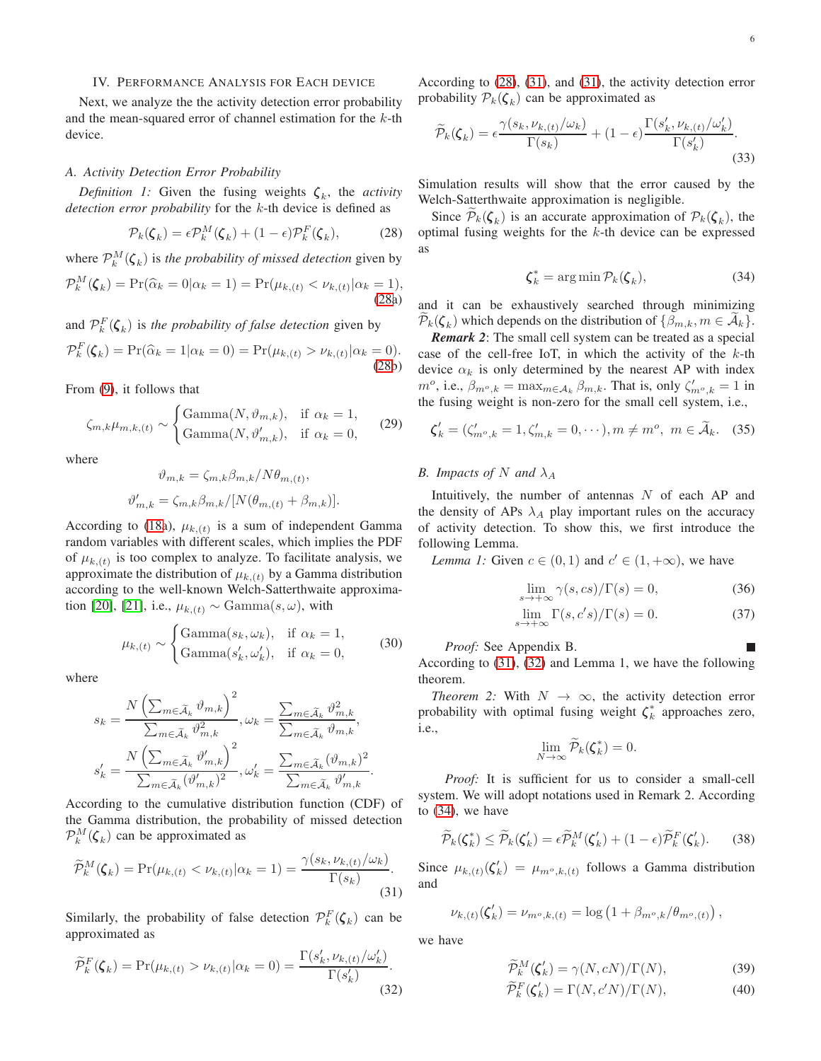#### IV. PERFORMANCE ANALYSIS FOR EACH DEVICE

Next, we analyze the the activity detection error probability and the mean-squared error of channel estimation for the k-th device.

#### *A. Activity Detection Error Probability*

*Definition 1:* Given the fusing weights  $\zeta_k$ , the *activity detection error probability* for the k-th device is defined as

$$
\mathcal{P}_k(\boldsymbol{\zeta}_k) = \epsilon \mathcal{P}_k^M(\boldsymbol{\zeta}_k) + (1 - \epsilon) \mathcal{P}_k^F(\boldsymbol{\zeta}_k),\tag{28}
$$

where  $\mathcal{P}_k^M(\boldsymbol{\zeta}_k)$  is *the probability of missed detection* given by

$$
\mathcal{P}_k^M(\boldsymbol{\zeta}_k) = \Pr(\widehat{\alpha}_k = 0 | \alpha_k = 1) = \Pr(\mu_{k,(t)} < \nu_{k,(t)} | \alpha_k = 1),\tag{28a}
$$

and  $\mathcal{P}_k^F(\boldsymbol{\zeta}_k)$  is *the probability of false detection* given by

$$
\mathcal{P}_k^F(\boldsymbol{\zeta}_k) = \Pr(\widehat{\alpha}_k = 1 | \alpha_k = 0) = \Pr(\mu_{k,(t)} > \nu_{k,(t)} | \alpha_k = 0).
$$
\n(28b)

From [\(9\)](#page-3-4), it follows that

$$
\zeta_{m,k}\mu_{m,k,(t)} \sim \begin{cases} \text{Gamma}(N,\vartheta_{m,k}), & \text{if } \alpha_k = 1, \\ \text{Gamma}(N,\vartheta'_{m,k}), & \text{if } \alpha_k = 0, \end{cases}
$$
 (29)

where

$$
\vartheta_{m,k} = \zeta_{m,k} \beta_{m,k} / N \theta_{m,(t)},
$$
  

$$
\vartheta'_{m,k} = \zeta_{m,k} \beta_{m,k} / [N(\theta_{m,(t)} + \beta_{m,k})].
$$

According to [\(18a](#page-4-0)),  $\mu_{k,(t)}$  is a sum of independent Gamma random variables with different scales, which implies the PDF of  $\mu_{k,(t)}$  is too complex to analyze. To facilitate analysis, we approximate the distribution of  $\mu_{k,(t)}$  by a Gamma distribution according to the well-known Welch-Satterthwaite approximation [20], [21], i.e.,  $\mu_{k,(t)} \sim \text{Gamma}(s, \omega)$ , with

$$
\mu_{k,(t)} \sim \begin{cases} \text{Gamma}(s_k, \omega_k), & \text{if } \alpha_k = 1, \\ \text{Gamma}(s'_k, \omega'_k), & \text{if } \alpha_k = 0, \end{cases} \tag{30}
$$

where

$$
s_k = \frac{N\left(\sum_{m \in \tilde{\mathcal{A}}_k} \vartheta_{m,k}\right)^2}{\sum_{m \in \tilde{\mathcal{A}}_k} \vartheta_{m,k}^2}, \omega_k = \frac{\sum_{m \in \tilde{\mathcal{A}}_k} \vartheta_{m,k}^2}{\sum_{m \in \tilde{\mathcal{A}}_k} \vartheta_{m,k}^2},
$$

$$
s'_k = \frac{N\left(\sum_{m \in \tilde{\mathcal{A}}_k} \vartheta_{m,k}'\right)^2}{\sum_{m \in \tilde{\mathcal{A}}_k} (\vartheta_{m,k}')^2}, \omega'_k = \frac{\sum_{m \in \tilde{\mathcal{A}}_k} (\vartheta_{m,k}')^2}{\sum_{m \in \tilde{\mathcal{A}}_k} \vartheta_{m,k}'}.
$$

 $\sqrt{2}$ 

According to the cumulative distribution function (CDF) of the Gamma distribution, the probability of missed detection  $\mathcal{P}_k^M(\boldsymbol{\zeta}_k)$  can be approximated as

$$
\widetilde{\mathcal{P}}_k^M(\boldsymbol{\zeta}_k) = \Pr(\mu_{k,(t)} < \nu_{k,(t)} | \alpha_k = 1) = \frac{\gamma(s_k, \nu_{k,(t)}/\omega_k)}{\Gamma(s_k)}.\tag{31}
$$

Similarly, the probability of false detection  $\mathcal{P}_k^F(\boldsymbol{\zeta}_k)$  can be approximated as

$$
\widetilde{\mathcal{P}}_k^F(\boldsymbol{\zeta}_k) = \Pr(\mu_{k,(t)} > \nu_{k,(t)} | \alpha_k = 0) = \frac{\Gamma(s'_k, \nu_{k,(t)}/\omega'_k)}{\Gamma(s'_k)}.\tag{32}
$$

 $\sim$ 

According to [\(28\)](#page-5-0), [\(31\)](#page-5-1), and [\(31\)](#page-5-1), the activity detection error probability  $P_k(\boldsymbol{\zeta}_k)$  can be approximated as

$$
\widetilde{\mathcal{P}}_k(\boldsymbol{\zeta}_k) = \epsilon \frac{\gamma(s_k, \nu_{k,(t)}/\omega_k)}{\Gamma(s_k)} + (1 - \epsilon) \frac{\Gamma(s'_k, \nu_{k,(t)}/\omega'_k)}{\Gamma(s'_k)}.
$$
\n(33)

Simulation results will show that the error caused by the Welch-Satterthwaite approximation is negligible.

<span id="page-5-0"></span>Since  $P_k(\boldsymbol{\zeta}_k)$  is an accurate approximation of  $P_k(\boldsymbol{\zeta}_k)$ , the optimal fusing weights for the  $k$ -th device can be expressed as

<span id="page-5-6"></span><span id="page-5-5"></span><span id="page-5-3"></span>
$$
\boldsymbol{\zeta}_k^* = \arg\min \mathcal{P}_k(\boldsymbol{\zeta}_k),\tag{34}
$$

and it can be exhaustively searched through minimizing  $\mathcal{P}_k(\boldsymbol{\zeta}_k)$  which depends on the distribution of  $\{\beta_{m,k}, m \in \mathcal{A}_k\}.$ 

*Remark 2*: The small cell system can be treated as a special case of the cell-free IoT, in which the activity of the  $k$ -th device  $\alpha_k$  is only determined by the nearest AP with index  $m^o$ , i.e.,  $\beta_{m^o,k} = \max_{m \in A_k} \beta_{m,k}$ . That is, only  $\zeta'_{m^o,k} = 1$  in the fusing weight is non-zero for the small cell system, i.e.,

$$
\boldsymbol{\zeta}'_k = (\zeta'_{m^o,k} = 1, \zeta'_{m,k} = 0, \cdots), m \neq m^o, \ m \in \widetilde{\mathcal{A}}_k. \tag{35}
$$

# *B. Impacts of* N and  $\lambda_A$

Intuitively, the number of antennas  $N$  of each AP and the density of APs  $\lambda_A$  play important rules on the accuracy of activity detection. To show this, we first introduce the following Lemma.

*Lemma 1:* Given  $c \in (0, 1)$  and  $c' \in (1, +\infty)$ , we have

$$
\lim_{s \to +\infty} \gamma(s, cs) / \Gamma(s) = 0,\tag{36}
$$

$$
\lim_{s \to +\infty} \Gamma(s, c's) / \Gamma(s) = 0.
$$
 (37)

*Proof:* See Appendix B.

According to [\(31\)](#page-5-1), [\(32\)](#page-5-2) and Lemma 1, we have the following theorem.

*Theorem 2:* With  $N \rightarrow \infty$ , the activity detection error probability with optimal fusing weight  $\zeta_k^*$  approaches zero, i.e.,

<span id="page-5-4"></span>
$$
\lim_{N\to\infty}\widetilde{\mathcal{P}}_k(\boldsymbol{\zeta}_k^*)=0.
$$

*Proof:* It is sufficient for us to consider a small-cell system. We will adopt notations used in Remark 2. According to [\(34\)](#page-5-3), we have

$$
\widetilde{\mathcal{P}}_k(\boldsymbol{\zeta}_k^*) \le \widetilde{\mathcal{P}}_k(\boldsymbol{\zeta}_k') = \epsilon \widetilde{\mathcal{P}}_k^M(\boldsymbol{\zeta}_k') + (1 - \epsilon) \widetilde{\mathcal{P}}_k^F(\boldsymbol{\zeta}_k'). \tag{38}
$$

<span id="page-5-1"></span>Since  $\mu_{k,(t)}(\zeta_k') = \mu_{m^o,k,(t)}$  follows a Gamma distribution and

$$
\nu_{k,(t)}(\zeta'_{k}) = \nu_{m^o,k,(t)} = \log (1 + \beta_{m^o,k}/\theta_{m^o,(t)}),
$$

<span id="page-5-2"></span>we have

$$
\widetilde{\mathcal{P}}_k^M(\zeta'_k) = \gamma(N, cN) / \Gamma(N),\tag{39}
$$

$$
\widetilde{\mathcal{P}}_k^F(\zeta'_k) = \Gamma(N, c'N) / \Gamma(N),\tag{40}
$$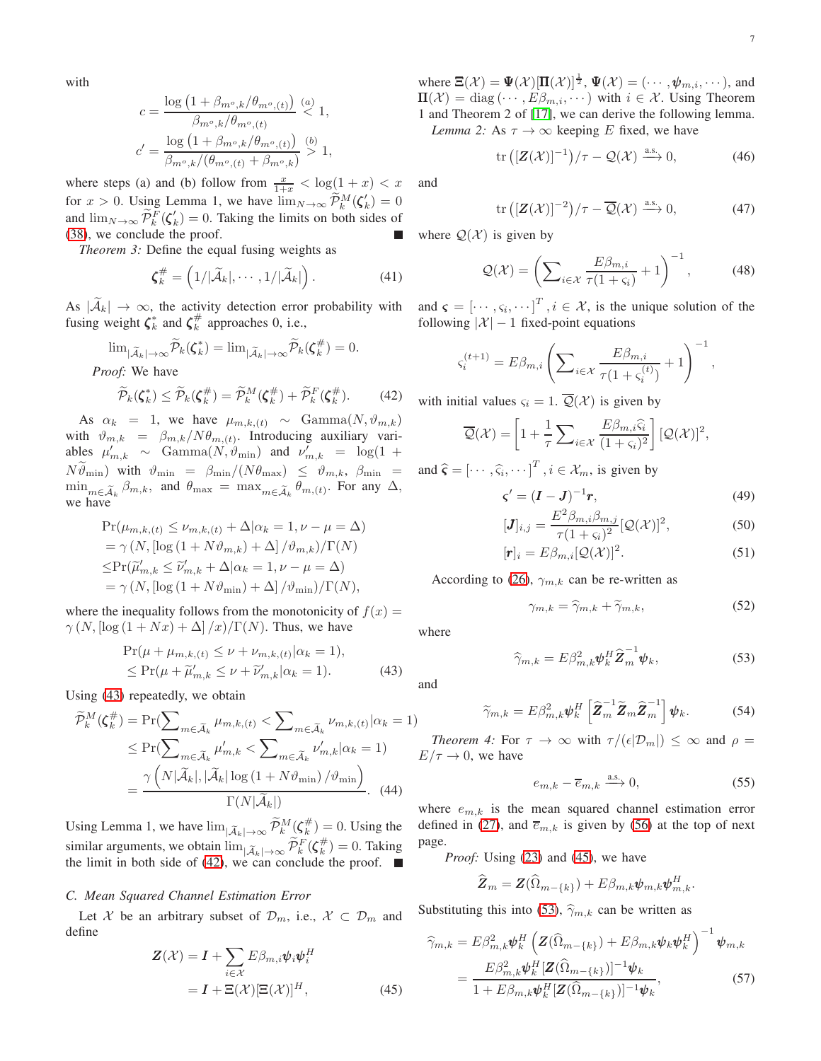with

$$
c = \frac{\log\left(1 + \beta_{m^o,k}/\theta_{m^o,(t)}\right)}{\beta_{m^o,k}/\theta_{m^o,(t)}} \stackrel{(a)}{<} 1,
$$
  

$$
c' = \frac{\log\left(1 + \beta_{m^o,k}/\theta_{m^o,(t)}\right)}{\beta_{m^o,k}/(\theta_{m^o,(t)} + \beta_{m^o,k})} \stackrel{(b)}{>} 1,
$$

where steps (a) and (b) follow from  $\frac{x}{1+x} < \log(1+x) < x$ for  $x > 0$ . Using Lemma 1, we have  $\lim_{N \to \infty} \widetilde{\mathcal{P}}_k^M(\zeta_k') = 0$ and  $\lim_{N\to\infty} \widetilde{\mathcal{P}}_k^F(\zeta_k') = 0$ . Taking the limits on both sides of [\(38\)](#page-5-4), we conclude the proof.

*Theorem 3:* Define the equal fusing weights as

$$
\boldsymbol{\zeta}_k^{\#} = \left(1/|\widetilde{\mathcal{A}}_k|,\cdots,1/|\widetilde{\mathcal{A}}_k|\right).
$$
 (41)

As  $|A_k| \to \infty$ , the activity detection error probability with fusing weight  $\zeta_k^*$  and  $\zeta_k^{\#}$  approaches 0, i.e.,

$$
\lim_{|\widetilde{A}_k| \to \infty} \widetilde{\mathcal{P}}_k(\zeta_k^*) = \lim_{|\widetilde{A}_k| \to \infty} \widetilde{\mathcal{P}}_k(\zeta_k^{\#}) = 0.
$$

*Proof:* We have

$$
\widetilde{\mathcal{P}}_k(\boldsymbol{\zeta}_k^*) \le \widetilde{\mathcal{P}}_k(\boldsymbol{\zeta}_k^{\#}) = \widetilde{\mathcal{P}}_k^M(\boldsymbol{\zeta}_k^{\#}) + \widetilde{\mathcal{P}}_k^F(\boldsymbol{\zeta}_k^{\#}). \tag{42}
$$

As  $\alpha_k = 1$ , we have  $\mu_{m,k,(t)} \sim \text{Gamma}(N, \vartheta_{m,k})$ with  $\vartheta_{m,k} = \beta_{m,k}/N\theta_{m,(t)}$ . Introducing auxiliary variables  $\mu'_{m,k} \sim \text{Gamma}(N, \vartheta_{\text{min}})$  and  $\nu'_{m,k} = \log(1 +$  $N\vartheta_{\min}$ ) with  $\vartheta_{\min} = \beta_{\min}/(N\theta_{\max}) \leq \vartheta_{m,k}, \beta_{\min} =$  $\min_{m \in \widetilde{\mathcal{A}}_k} \beta_{m,k}$ , and  $\theta_{\max} = \max_{m \in \widetilde{\mathcal{A}}_k} \theta_{m,(t)}$ . For any  $\Delta$ , we have

$$
\Pr(\mu_{m,k,(t)} \le \nu_{m,k,(t)} + \Delta|\alpha_k = 1, \nu - \mu = \Delta)
$$
  
=  $\gamma(N, [\log(1 + N\vartheta_{m,k}) + \Delta] / \vartheta_{m,k}) / \Gamma(N)$   
 $\le \Pr(\widetilde{\mu}'_{m,k} \le \widetilde{\nu}'_{m,k} + \Delta|\alpha_k = 1, \nu - \mu = \Delta)$   
=  $\gamma(N, [\log(1 + N\vartheta_{\min}) + \Delta] / \vartheta_{\min}) / \Gamma(N),$ 

where the inequality follows from the monotonicity of  $f(x) =$  $\gamma(N, \left[\log\left(1 + Nx\right) + \Delta\right]/x)/\Gamma(N)$ . Thus, we have

$$
\Pr(\mu + \mu_{m,k,(t)} \le \nu + \nu_{m,k,(t)} | \alpha_k = 1),
$$
  
\n
$$
\le \Pr(\mu + \widetilde{\mu}'_{m,k} \le \nu + \widetilde{\nu}'_{m,k} | \alpha_k = 1).
$$
\n(43)

Using [\(43\)](#page-6-0) repeatedly, we obtain

$$
\widetilde{\mathcal{P}}_k^M(\zeta_k^{\#}) = \Pr(\sum_{m \in \widetilde{\mathcal{A}}_k} \mu_{m,k,(t)} < \sum_{m \in \widetilde{\mathcal{A}}_k} \nu_{m,k,(t)} | \alpha_k = 1) \le \Pr(\sum_{m \in \widetilde{\mathcal{A}}_k} \mu'_{m,k} < \sum_{m \in \widetilde{\mathcal{A}}_k} \nu'_{m,k} | \alpha_k = 1) \le \frac{\gamma\left(N|\widetilde{\mathcal{A}}_k|, |\widetilde{\mathcal{A}}_k| \log\left(1 + N\vartheta_{\min}\right) / \vartheta_{\min}\right)}{\Gamma(N|\widetilde{\mathcal{A}}_k|)}.\tag{44}
$$

Using Lemma 1, we have  $\lim_{|\tilde{A}_k| \to \infty} \widetilde{\mathcal{P}}_k^M(\zeta_k^{\#}) = 0$ . Using the similar arguments, we obtain  $\lim_{|\widetilde{A}_k| \to \infty} \widetilde{\mathcal{P}}_k^F(\zeta_k^{\#}) = 0$ . Taking the limit in both side of [\(42\)](#page-6-1), we can conclude the proof.  $\blacksquare$ 

#### *C. Mean Squared Channel Estimation Error*

Let X be an arbitrary subset of  $\mathcal{D}_m$ , i.e.,  $\mathcal{X} \subset \mathcal{D}_m$  and define

$$
\mathbf{Z}(\mathcal{X}) = \mathbf{I} + \sum_{i \in \mathcal{X}} E \beta_{m,i} \psi_i \psi_i^H
$$

$$
= \mathbf{I} + \Xi(\mathcal{X}) [\Xi(\mathcal{X})]^H,
$$
(45)

where  $\Xi(\mathcal{X}) = \Psi(\mathcal{X})[\Pi(\mathcal{X})]^{\frac{1}{2}}, \Psi(\mathcal{X}) = (\cdots, \psi_{m,i}, \cdots)$ , and  $\Pi(\mathcal{X}) = \text{diag}(\cdots, E\beta_{m,i}, \cdots)$  with  $i \in \mathcal{X}$ . Using Theorem 1 and Theorem 2 of [17], we can derive the following lemma. *Lemma 2:* As  $\tau \to \infty$  keeping E fixed, we have

$$
\operatorname{tr}\left(\left[\mathbf{Z}(\mathcal{X})\right]^{-1}\right)/\tau - \mathcal{Q}(\mathcal{X}) \xrightarrow{\text{a.s.}} 0,\tag{46}
$$

and

<span id="page-6-5"></span>
$$
\operatorname{tr}\left( [\mathbf{Z}(\mathcal{X})]^{-2} \right) / \tau - \overline{\mathcal{Q}}(\mathcal{X}) \xrightarrow{\text{a.s.}} 0,\tag{47}
$$

where  $Q(\mathcal{X})$  is given by

$$
\mathcal{Q}(\mathcal{X}) = \left(\sum_{i \in \mathcal{X}} \frac{E\beta_{m,i}}{\tau(1+\varsigma_i)} + 1\right)^{-1},\tag{48}
$$

<span id="page-6-7"></span>and  $\boldsymbol{\varsigma} = [\cdots, \varsigma_i, \cdots]^T$ ,  $i \in \mathcal{X}$ , is the unique solution of the following  $|\mathcal{X}| - 1$  fixed-point equations

$$
\varsigma_i^{(t+1)} = E\beta_{m,i} \left( \sum_{i \in \mathcal{X}} \frac{E\beta_{m,i}}{\tau(1 + \varsigma_i^{(t)})} + 1 \right)^{-1},
$$

<span id="page-6-1"></span>with initial values  $\varsigma_i = 1$ .  $\mathcal{Q}(\mathcal{X})$  is given by

$$
\overline{\mathcal{Q}}(\mathcal{X}) = \left[1 + \frac{1}{\tau} \sum_{i \in \mathcal{X}} \frac{E \beta_{m,i} \widehat{\varsigma}_i}{(1 + \varsigma_i)^2} \right] [\mathcal{Q}(\mathcal{X})]^2,
$$

and  $\hat{\varsigma} = [\cdots, \widehat{\varsigma}_i, \cdots]^T$ ,  $i \in \mathcal{X}_m$ , is given by

$$
\boldsymbol{\varsigma}' = (\boldsymbol{I} - \boldsymbol{J})^{-1} \boldsymbol{r},\tag{49}
$$

$$
[J]_{i,j} = \frac{E^2 \beta_{m,i} \beta_{m,j}}{\tau (1 + \varsigma_i)^2} [\mathcal{Q}(\mathcal{X})]^2,
$$
\n(50)

$$
[\mathbf{r}]_i = E\beta_{m,i}[\mathcal{Q}(\mathcal{X})]^2. \tag{51}
$$

According to [\(26\)](#page-4-5),  $\gamma_{m,k}$  can be re-written as

<span id="page-6-6"></span><span id="page-6-3"></span>
$$
\gamma_{m,k} = \widehat{\gamma}_{m,k} + \widetilde{\gamma}_{m,k},\tag{52}
$$

where

<span id="page-6-0"></span>and

$$
\widehat{\gamma}_{m,k} = E \beta_{m,k}^2 \psi_k^H \widehat{\mathbf{Z}}_m^{-1} \psi_k, \tag{53}
$$

 $\widetilde{\gamma}_{m,k} = E \beta_{m,k}^2 \pmb{\psi}_k^H \left[ \widehat{\pmb{Z}}_m^{-1}\widetilde{\pmb{Z}}_m \widehat{\pmb{Z}}_m^{-1} \right]$  $\begin{bmatrix} -1 \\ m \end{bmatrix} \psi_k.$  (54)

*Theorem 4:* For  $\tau \to \infty$  with  $\tau/(\epsilon|\mathcal{D}_m|) \leq \infty$  and  $\rho =$  $E/\tau \rightarrow 0$ , we have

<span id="page-6-8"></span><span id="page-6-4"></span>
$$
e_{m,k} - \overline{e}_{m,k} \xrightarrow{\text{a.s.}} 0,\tag{55}
$$

where  $e_{m,k}$  is the mean squared channel estimation error defined in [\(27\)](#page-4-6), and  $\overline{e}_{m,k}$  is given by [\(56\)](#page-7-0) at the top of next page.

*Proof:* Using [\(23\)](#page-4-7) and [\(45\)](#page-6-2), we have

$$
\widehat{\boldsymbol{Z}}_m = \boldsymbol{Z}(\widehat{\Omega}_{m-\{k\}}) + E\beta_{m,k}\boldsymbol{\psi}_{m,k}\boldsymbol{\psi}_{m,k}^H.
$$

Substituting this into [\(53\)](#page-6-3),  $\hat{\gamma}_{m,k}$  can be written as

<span id="page-6-2"></span>
$$
\widehat{\gamma}_{m,k} = E\beta_{m,k}^2 \boldsymbol{\psi}_k^H \left( \boldsymbol{Z}(\widehat{\Omega}_{m-\{k\}}) + E\beta_{m,k} \boldsymbol{\psi}_k \boldsymbol{\psi}_k^H \right)^{-1} \boldsymbol{\psi}_{m,k} \n= \frac{E\beta_{m,k}^2 \boldsymbol{\psi}_k^H [\boldsymbol{Z}(\widehat{\Omega}_{m-\{k\}})]^{-1} \boldsymbol{\psi}_k}{1 + E\beta_{m,k} \boldsymbol{\psi}_k^H [\boldsymbol{Z}(\widehat{\Omega}_{m-\{k\}})]^{-1} \boldsymbol{\psi}_k},
$$
\n(57)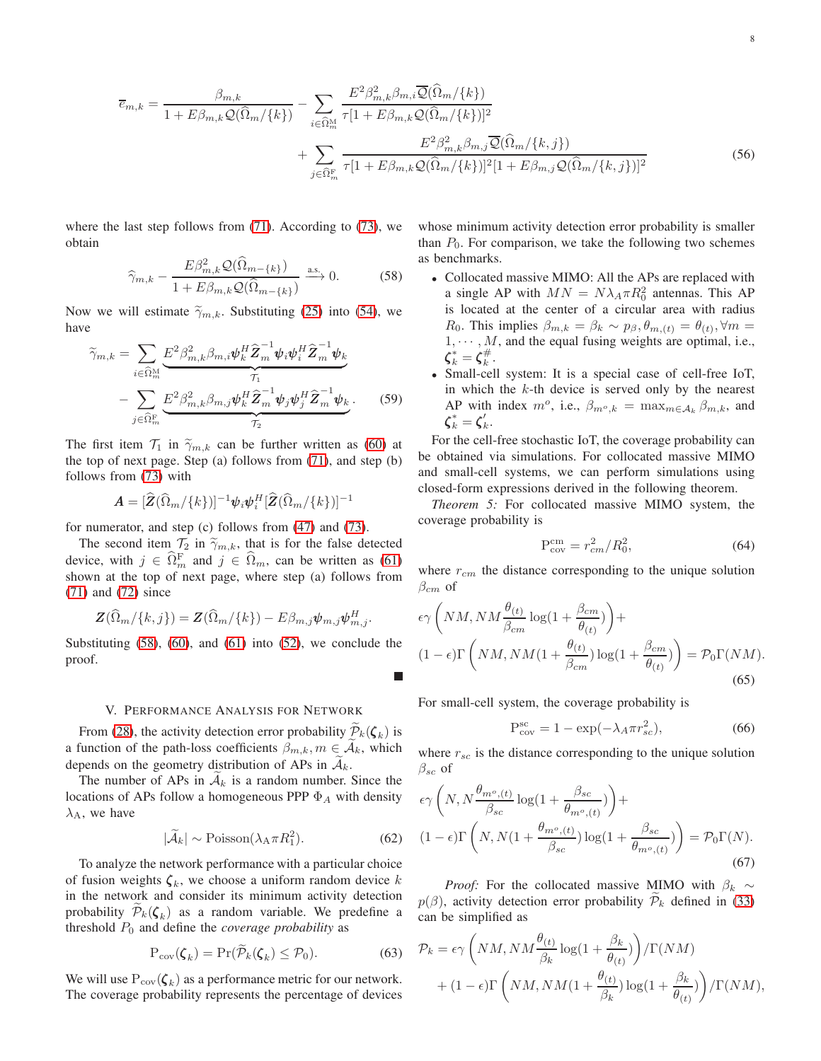$$
\overline{e}_{m,k} = \frac{\beta_{m,k}}{1 + E\beta_{m,k}Q(\widehat{\Omega}_m/\{k\})} - \sum_{i \in \widehat{\Omega}_m^M} \frac{E^2 \beta_{m,k}^2 \beta_{m,i} \overline{Q}(\widehat{\Omega}_m/\{k\})}{\tau [1 + E\beta_{m,k}Q(\widehat{\Omega}_m/\{k\})]^2} + \sum_{j \in \widehat{\Omega}_m^F} \frac{E^2 \beta_{m,k}^2 \beta_{m,j} \overline{Q}(\widehat{\Omega}_m/\{k,j\})}{\tau [1 + E\beta_{m,k}Q(\widehat{\Omega}_m/\{k\})]^2 [1 + E\beta_{m,j}Q(\widehat{\Omega}_m/\{k,j\})]^2}
$$
(56)

where the last step follows from [\(71\)](#page-10-0). According to [\(73\)](#page-10-1), we obtain

$$
\widehat{\gamma}_{m,k} - \frac{E\beta_{m,k}^2 \mathcal{Q}(\widehat{\Omega}_{m-\{k\}})}{1 + E\beta_{m,k} \mathcal{Q}(\widehat{\Omega}_{m-\{k\}})} \xrightarrow{\text{a.s.}} 0. \tag{58}
$$

Now we will estimate  $\widetilde{\gamma}_{m,k}$ . Substituting [\(25\)](#page-4-8) into [\(54\)](#page-6-4), we have

$$
\widetilde{\gamma}_{m,k} = \sum_{i \in \widehat{\Omega}_m^M} \underbrace{E^2 \beta_{m,k}^2 \beta_{m,i} \psi_k^H \widehat{\mathbf{Z}}_m^{-1} \psi_i \psi_i^H \widehat{\mathbf{Z}}_m^{-1} \psi_k}_{\mathcal{T}_1} \n- \sum_{j \in \widehat{\Omega}_m^F} \underbrace{E^2 \beta_{m,k}^2 \beta_{m,j} \psi_k^H \widehat{\mathbf{Z}}_m^{-1} \psi_j \psi_j^H \widehat{\mathbf{Z}}_m^{-1} \psi_k}_{\mathcal{T}_2}.
$$
\n(59)

The first item  $\mathcal{T}_1$  in  $\widetilde{\gamma}_{m,k}$  can be further written as [\(60\)](#page-8-0) at the top of next page. Step (a) follows from [\(71\)](#page-10-0), and step (b) follows from [\(73\)](#page-10-1) with

$$
\boldsymbol{A} = [\widehat{\boldsymbol{Z}}(\widehat{\Omega}_{m}/\{k\})]^{-1} \boldsymbol{\psi}_{i} \boldsymbol{\psi}_{i}^{H} [\widehat{\boldsymbol{Z}}(\widehat{\Omega}_{m}/\{k\})]^{-1}
$$

for numerator, and step (c) follows from [\(47\)](#page-6-5) and [\(73\)](#page-10-1).

The second item  $\mathcal{T}_2$  in  $\widetilde{\gamma}_{m,k}$ , that is for the false detected device, with  $j \in \Omega_m^F$  and  $j \in \Omega_m$ , can be written as [\(61\)](#page-8-1) shown at the top of next page, where step (a) follows from [\(71\)](#page-10-0) and [\(72\)](#page-10-2) since

$$
\mathbf{Z}(\widehat{\Omega}_m/\{k,j\}) = \mathbf{Z}(\widehat{\Omega}_m/\{k\}) - E\beta_{m,j}\psi_{m,j}\psi_{m,j}^H.
$$

Substituting  $(58)$ ,  $(60)$ , and  $(61)$  into  $(52)$ , we conclude the proof.

## V. PERFORMANCE ANALYSIS FOR NETWORK

From [\(28\)](#page-5-0), the activity detection error probability  $\mathcal{P}_k(\boldsymbol{\zeta}_k)$  is a function of the path-loss coefficients  $\beta_{m,k}, m \in \mathcal{A}_k$ , which depends on the geometry distribution of APs in  $A_k$ .

The number of APs in  $A_k$  is a random number. Since the locations of APs follow a homogeneous PPP  $\Phi_A$  with density  $\lambda_A$ , we have

$$
|\tilde{\mathcal{A}}_k| \sim \text{Poisson}(\lambda_\text{A} \pi R_1^2). \tag{62}
$$

To analyze the network performance with a particular choice of fusion weights  $\zeta_k$ , we choose a uniform random device k in the network and consider its minimum activity detection probability  $P_k(\boldsymbol{\zeta}_k)$  as a random variable. We predefine a threshold  $P_0$  and define the *coverage probability* as

$$
P_{cov}(\boldsymbol{\zeta}_k) = Pr(\widetilde{\mathcal{P}}_k(\boldsymbol{\zeta}_k) \le \mathcal{P}_0). \tag{63}
$$

We will use  $P_{cov}(\boldsymbol{\zeta}_k)$  as a performance metric for our network. The coverage probability represents the percentage of devices <span id="page-7-0"></span>whose minimum activity detection error probability is smaller than  $P_0$ . For comparison, we take the following two schemes as benchmarks.

- <span id="page-7-1"></span>• Collocated massive MIMO: All the APs are replaced with a single AP with  $MN = N\lambda_A \pi R_0^2$  antennas. This AP is located at the center of a circular area with radius R<sub>0</sub>. This implies  $\beta_{m,k} = \beta_k \sim p_\beta, \theta_{m,(t)} = \theta_{(t)}, \forall m =$  $1, \dots, M$ , and the equal fusing weights are optimal, i.e.,  $\boldsymbol{\zeta}_{k}^*=\boldsymbol{\zeta}_{k}^{\#}.$
- Small-cell system: It is a special case of cell-free IoT, in which the  $k$ -th device is served only by the nearest AP with index  $m^o$ , i.e.,  $\beta_{m^o,k} = \max_{m \in A_k} \beta_{m,k}$ , and  $\boldsymbol{\zeta}_{k}^* = \boldsymbol{\zeta}_{k}'.$

For the cell-free stochastic IoT, the coverage probability can be obtained via simulations. For collocated massive MIMO and small-cell systems, we can perform simulations using closed-form expressions derived in the following theorem.

*Theorem 5:* For collocated massive MIMO system, the coverage probability is

$$
P_{cov}^{cm} = r_{cm}^2 / R_0^2,
$$
\n(64)

where  $r_{cm}$  the distance corresponding to the unique solution  $\beta_{cm}$  of

$$
\epsilon \gamma \left( NM, NM \frac{\theta_{(t)}}{\beta_{cm}} \log(1 + \frac{\beta_{cm}}{\theta_{(t)}}) \right) +
$$
  

$$
(1 - \epsilon) \Gamma \left( NM, NM (1 + \frac{\theta_{(t)}}{\beta_{cm}}) \log(1 + \frac{\beta_{cm}}{\theta_{(t)}}) \right) = \mathcal{P}_0 \Gamma(NM).
$$
  
(65)

For small-cell system, the coverage probability is

$$
P_{cov}^{sc} = 1 - \exp(-\lambda_A \pi r_{sc}^2),\tag{66}
$$

where  $r_{sc}$  is the distance corresponding to the unique solution  $\beta_{sc}$  of

$$
\epsilon \gamma \left( N, N \frac{\theta_{m^o,(t)}}{\beta_{sc}} \log(1 + \frac{\beta_{sc}}{\theta_{m^o,(t)}}) \right) +
$$
  

$$
(1 - \epsilon) \Gamma \left( N, N(1 + \frac{\theta_{m^o,(t)}}{\beta_{sc}}) \log(1 + \frac{\beta_{sc}}{\theta_{m^o,(t)}}) \right) = \mathcal{P}_0 \Gamma(N).
$$
  
(67)

*Proof:* For the collocated massive MIMO with  $\beta_k \sim$  $p(\beta)$ , activity detection error probability  $\mathcal{P}_k$  defined in [\(33\)](#page-5-5) can be simplified as

$$
\mathcal{P}_k = \epsilon \gamma \left( NM, NM \frac{\theta_{(t)}}{\beta_k} \log(1 + \frac{\beta_k}{\theta_{(t)}}) \right) / \Gamma(NM)
$$

$$
+ (1 - \epsilon) \Gamma \left( NM, NM(1 + \frac{\theta_{(t)}}{\beta_k}) \log(1 + \frac{\beta_k}{\theta_{(t)}}) \right) / \Gamma(NM),
$$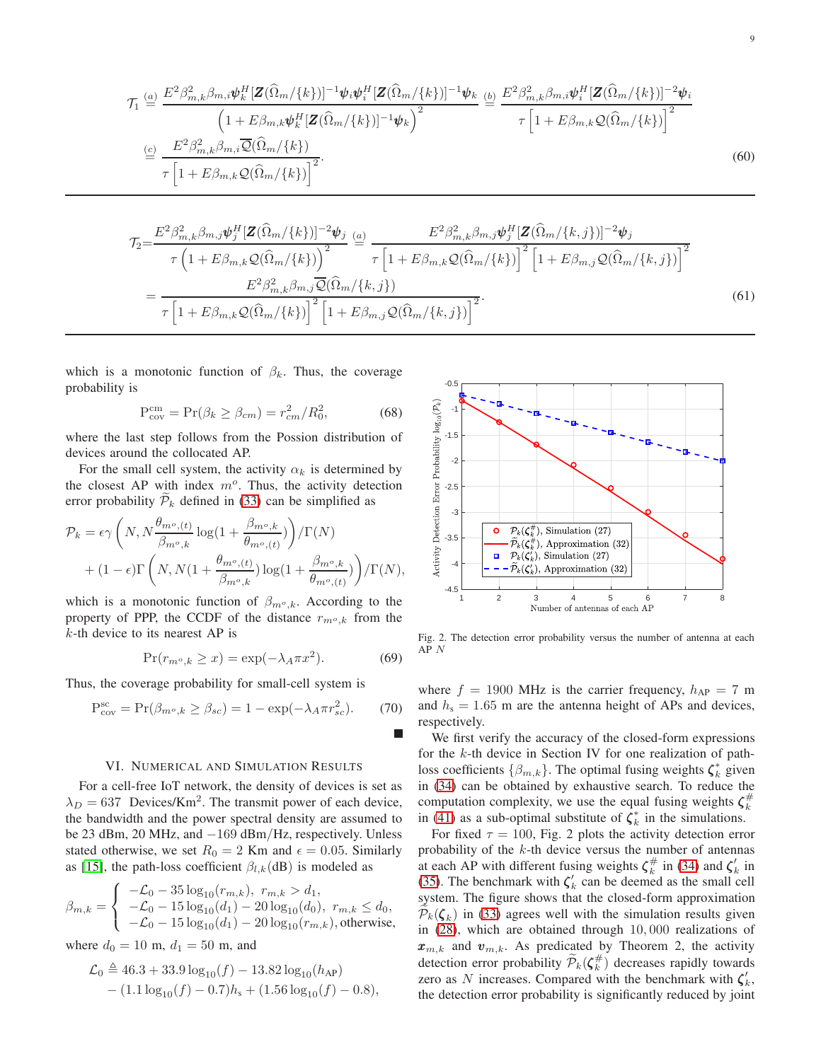$$
\mathcal{T}_1 \stackrel{(a)}{=} \frac{E^2 \beta_{m,k}^2 \beta_{m,i} \psi_k^H [\mathbf{Z}(\widehat{\Omega}_m/\{k\})]^{-1} \psi_i \psi_i^H [\mathbf{Z}(\widehat{\Omega}_m/\{k\})]^{-1} \psi_k}{\left(1 + E \beta_{m,k} \psi_k^H [\mathbf{Z}(\widehat{\Omega}_m/\{k\})]^{-1} \psi_k\right)^2} \stackrel{(b)}{=} \frac{E^2 \beta_{m,k}^2 \beta_{m,i} \psi_i^H [\mathbf{Z}(\widehat{\Omega}_m/\{k\})]^{-2} \psi_i}{\tau \left[1 + E \beta_{m,k} \mathcal{Q}(\widehat{\Omega}_m/\{k\})\right]^2}
$$
\n
$$
\stackrel{(c)}{=} \frac{E^2 \beta_{m,k}^2 \beta_{m,i} \overline{\mathcal{Q}}(\widehat{\Omega}_m/\{k\})}{\tau \left[1 + E \beta_{m,k} \mathcal{Q}(\widehat{\Omega}_m/\{k\})\right]^2}.
$$
\n(60)

$$
\mathcal{T}_{2} = \frac{E^{2}\beta_{m,k}^{2}\beta_{m,j}\psi_{j}^{H}[\mathbf{Z}(\widehat{\Omega}_{m}/\{k\})]^{-2}\psi_{j}}{\tau\left(1+E\beta_{m,k}\mathcal{Q}(\widehat{\Omega}_{m}/\{k\})\right)^{2}} \stackrel{(a)}{=} \frac{E^{2}\beta_{m,k}^{2}\beta_{m,j}\psi_{j}^{H}[\mathbf{Z}(\widehat{\Omega}_{m}/\{k,j\})]^{-2}\psi_{j}}{\tau\left[1+E\beta_{m,k}\mathcal{Q}(\widehat{\Omega}_{m}/\{k\})\right]^{2}\left[1+E\beta_{m,j}\mathcal{Q}(\widehat{\Omega}_{m}/\{k,j\})\right]^{2}} = \frac{E^{2}\beta_{m,k}^{2}\beta_{m,j}\overline{\mathcal{Q}}(\widehat{\Omega}_{m}/\{k,j\})}{\tau\left[1+E\beta_{m,k}\mathcal{Q}(\widehat{\Omega}_{m}/\{k,j\})\right]^{2}\left[1+E\beta_{m,j}\mathcal{Q}(\widehat{\Omega}_{m}/\{k,j\})\right]^{2}}.
$$
\n(61)

which is a monotonic function of  $\beta_k$ . Thus, the coverage probability is

$$
P_{cov}^{cm} = Pr(\beta_k \ge \beta_{cm}) = r_{cm}^2/R_0^2,
$$
\n(68)

where the last step follows from the Possion distribution of devices around the collocated AP.

For the small cell system, the activity  $\alpha_k$  is determined by the closest AP with index  $m<sup>o</sup>$ . Thus, the activity detection error probability  $P_k$  defined in [\(33\)](#page-5-5) can be simplified as

$$
\mathcal{P}_k = \epsilon \gamma \left( N, N \frac{\theta_{m^o,(t)}}{\beta_{m^o,k}} \log(1 + \frac{\beta_{m^o,k}}{\theta_{m^o,(t)}}) \right) / \Gamma(N)
$$

$$
+ (1 - \epsilon) \Gamma \left( N, N(1 + \frac{\theta_{m^o,(t)}}{\beta_{m^o,k}}) \log(1 + \frac{\beta_{m^o,k}}{\theta_{m^o,(t)}}) \right) / \Gamma(N),
$$

which is a monotonic function of  $\beta_{m^o,k}$ . According to the property of PPP, the CCDF of the distance  $r_{m^o,k}$  from the  $k$ -th device to its nearest AP is

$$
\Pr(r_{m^o,k} \ge x) = \exp(-\lambda_A \pi x^2). \tag{69}
$$

Thus, the coverage probability for small-cell system is

$$
P_{cov}^{sc} = Pr(\beta_{m^o,k} \ge \beta_{sc}) = 1 - exp(-\lambda_A \pi r_{sc}^2). \tag{70}
$$

#### VI. NUMERICAL AND SIMULATION RESULTS

For a cell-free IoT network, the density of devices is set as  $\lambda_D = 637$  Devices/Km<sup>2</sup>. The transmit power of each device, the bandwidth and the power spectral density are assumed to be 23 dBm, 20 MHz, and −169 dBm/Hz, respectively. Unless stated otherwise, we set  $R_0 = 2$  Km and  $\epsilon = 0.05$ . Similarly as [15], the path-loss coefficient  $\beta_{l,k}$ (dB) is modeled as

$$
\beta_{m,k} = \begin{cases}\n-\mathcal{L}_0 - 35 \log_{10}(r_{m,k}), & r_{m,k} > d_1, \\
-\mathcal{L}_0 - 15 \log_{10}(d_1) - 20 \log_{10}(d_0), & r_{m,k} \le d_0, \\
-\mathcal{L}_0 - 15 \log_{10}(d_1) - 20 \log_{10}(r_{m,k}), \text{otherwise,} \n\end{cases}
$$

where  $d_0 = 10$  m,  $d_1 = 50$  m, and

$$
\mathcal{L}_0 \triangleq 46.3 + 33.9 \log_{10}(f) - 13.82 \log_{10}(h_{AP}) - (1.1 \log_{10}(f) - 0.7)h_s + (1.56 \log_{10}(f) - 0.8),
$$

<span id="page-8-1"></span><span id="page-8-0"></span>

Fig. 2. The detection error probability versus the number of antenna at each AP  $N$ 

where  $f = 1900$  MHz is the carrier frequency,  $h_{AP} = 7$  m and  $h_s = 1.65$  m are the antenna height of APs and devices, respectively.

We first verify the accuracy of the closed-form expressions for the  $k$ -th device in Section IV for one realization of pathloss coefficients  $\{\beta_{m,k}\}$ . The optimal fusing weights  $\zeta_k^*$  given in [\(34\)](#page-5-3) can be obtained by exhaustive search. To reduce the computation complexity, we use the equal fusing weights  $\zeta_k^{\#}$ in [\(41\)](#page-6-7) as a sub-optimal substitute of  $\zeta_k^*$  in the simulations.

For fixed  $\tau = 100$ , Fig. 2 plots the activity detection error probability of the  $k$ -th device versus the number of antennas at each AP with different fusing weights  $\zeta_k^{\#}$  in [\(34\)](#page-5-3) and  $\zeta_k'$  in [\(35\)](#page-5-6). The benchmark with  $\zeta'_k$  can be deemed as the small cell system. The figure shows that the closed-form approximation  $P_k(\boldsymbol{\zeta}_k)$  in [\(33\)](#page-5-5) agrees well with the simulation results given in [\(28\)](#page-5-0), which are obtained through 10, 000 realizations of  $x_{m,k}$  and  $v_{m,k}$ . As predicated by Theorem 2, the activity detection error probability  $\widetilde{\mathcal{P}}_k(\zeta_k^{\#})$  decreases rapidly towards zero as N increases. Compared with the benchmark with  $\zeta'_k$ , the detection error probability is significantly reduced by joint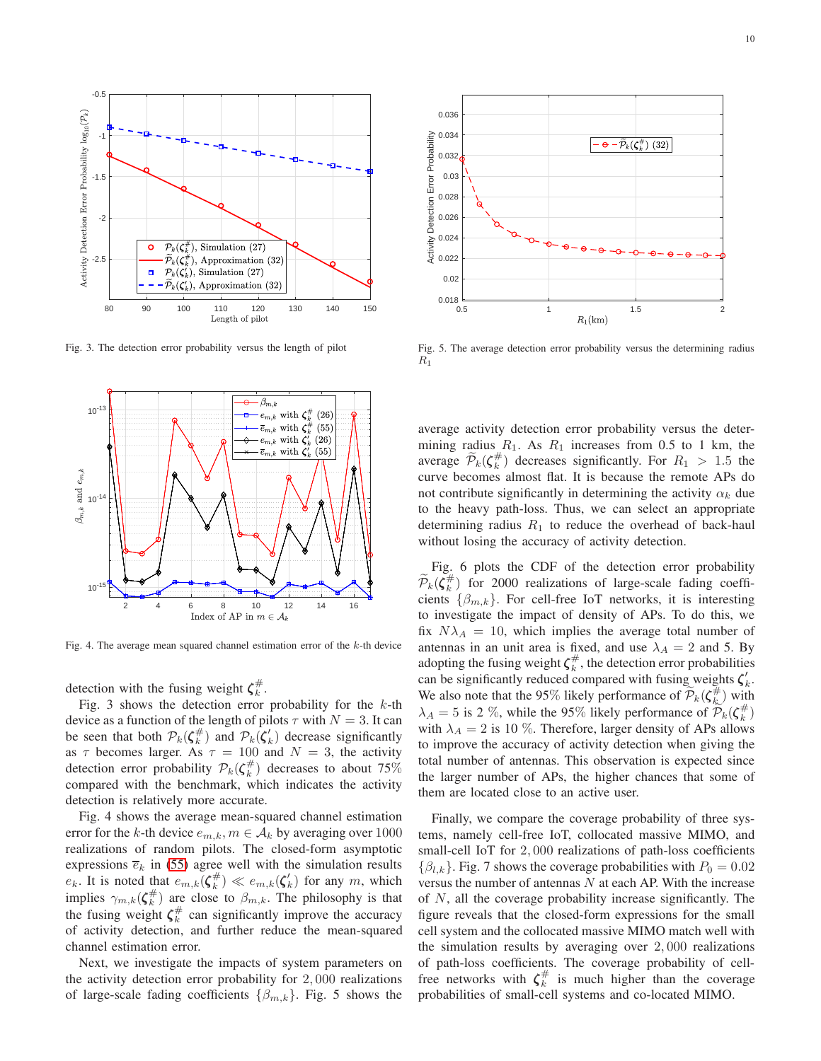

Fig. 3. The detection error probability versus the length of pilot



Fig. 4. The average mean squared channel estimation error of the k-th device

detection with the fusing weight  $\zeta_k^{\#}$ .

Fig. 3 shows the detection error probability for the  $k$ -th device as a function of the length of pilots  $\tau$  with  $N = 3$ . It can be seen that both  $\mathcal{P}_k(\zeta_k^{\#})$  and  $\mathcal{P}_k(\zeta_k)$  decrease significantly as  $\tau$  becomes larger. As  $\tau = 100$  and  $N = 3$ , the activity detection error probability  $\mathcal{P}_k(\zeta_k^{\#})$  decreases to about 75% compared with the benchmark, which indicates the activity detection is relatively more accurate.

Fig. 4 shows the average mean-squared channel estimation error for the k-th device  $e_{m,k}$ ,  $m \in A_k$  by averaging over 1000 realizations of random pilots. The closed-form asymptotic expressions  $\overline{e}_k$  in [\(55\)](#page-6-8) agree well with the simulation results  $e_k$ . It is noted that  $e_{m,k}(\zeta_k^{\#}) \ll e_{m,k}(\zeta_k)$  for any m, which implies  $\gamma_{m,k}(\zeta_k^{\#})$  are close to  $\beta_{m,k}$ . The philosophy is that the fusing weight  $\zeta_k^{\#}$  can significantly improve the accuracy of activity detection, and further reduce the mean-squared channel estimation error.

Next, we investigate the impacts of system parameters on the activity detection error probability for 2, 000 realizations of large-scale fading coefficients  $\{\beta_{m,k}\}\$ . Fig. 5 shows the



Fig. 5. The average detection error probability versus the determining radius  $R_1$ 

average activity detection error probability versus the determining radius  $R_1$ . As  $R_1$  increases from 0.5 to 1 km, the average  $\widetilde{\mathcal{P}}_k(\zeta_k^{\#})$  decreases significantly. For  $R_1 > 1.5$  the curve becomes almost flat. It is because the remote APs do not contribute significantly in determining the activity  $\alpha_k$  due to the heavy path-loss. Thus, we can select an appropriate determining radius  $R_1$  to reduce the overhead of back-haul without losing the accuracy of activity detection.

Fig. 6 plots the CDF of the detection error probability  $\widetilde{\mathcal{P}}_k(\zeta_k^{\#})$  for 2000 realizations of large-scale fading coefficients  $\{\beta_{m,k}\}\$ . For cell-free IoT networks, it is interesting to investigate the impact of density of APs. To do this, we fix  $N\lambda_A = 10$ , which implies the average total number of antennas in an unit area is fixed, and use  $\lambda_A = 2$  and 5. By adopting the fusing weight  $\zeta_k^{\#}$ , the detection error probabilities can be significantly reduced compared with fusing weights  $\zeta'_k$ . We also note that the 95% likely performance of  $\widetilde{\mathcal{P}}_k(\zeta^{\#}_{k})$  with  $\lambda_A = 5$  is 2 %, while the 95% likely performance of  $\widetilde{\mathcal{P}}_k(\zeta_k^{\#})$ with  $\lambda_A = 2$  is 10 %. Therefore, larger density of APs allows to improve the accuracy of activity detection when giving the total number of antennas. This observation is expected since the larger number of APs, the higher chances that some of them are located close to an active user.

Finally, we compare the coverage probability of three systems, namely cell-free IoT, collocated massive MIMO, and small-cell IoT for 2, 000 realizations of path-loss coefficients  $\{\beta_{l,k}\}.$  Fig. 7 shows the coverage probabilities with  $P_0 = 0.02$ versus the number of antennas  $N$  at each AP. With the increase of N, all the coverage probability increase significantly. The figure reveals that the closed-form expressions for the small cell system and the collocated massive MIMO match well with the simulation results by averaging over 2, 000 realizations of path-loss coefficients. The coverage probability of cellfree networks with  $\zeta_k^{\#}$  is much higher than the coverage probabilities of small-cell systems and co-located MIMO.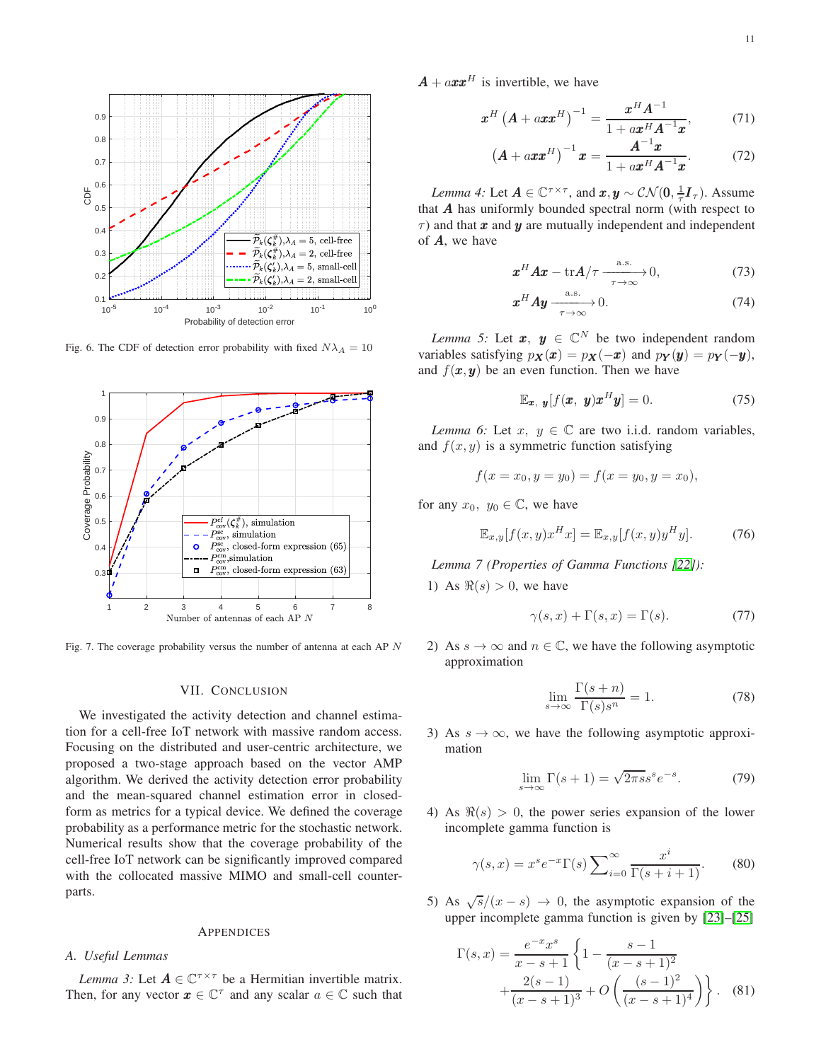

Fig. 6. The CDF of detection error probability with fixed  $N\lambda_A = 10$ 



Fig. 7. The coverage probability versus the number of antenna at each AP N

#### VII. CONCLUSION

We investigated the activity detection and channel estimation for a cell-free IoT network with massive random access. Focusing on the distributed and user-centric architecture, we proposed a two-stage approach based on the vector AMP algorithm. We derived the activity detection error probability and the mean-squared channel estimation error in closedform as metrics for a typical device. We defined the coverage probability as a performance metric for the stochastic network. Numerical results show that the coverage probability of the cell-free IoT network can be significantly improved compared with the collocated massive MIMO and small-cell counterparts.

#### APPENDICES

# *A. Useful Lemmas*

*Lemma 3:* Let  $A \in \mathbb{C}^{\tau \times \tau}$  be a Hermitian invertible matrix. Then, for any vector  $\boldsymbol{x} \in \mathbb{C}^{\tau}$  and any scalar  $a \in \mathbb{C}$  such that  $\mathbf{A} + a \mathbf{x} \mathbf{x}^H$  is invertible, we have

$$
\boldsymbol{x}^H \left( \boldsymbol{A} + a \boldsymbol{x} \boldsymbol{x}^H \right)^{-1} = \frac{\boldsymbol{x}^H \boldsymbol{A}^{-1}}{1 + a \boldsymbol{x}^H \boldsymbol{A}^{-1} \boldsymbol{x}},\tag{71}
$$

<span id="page-10-2"></span><span id="page-10-0"></span>
$$
\left(A + axx^{H}\right)^{-1} x = \frac{A^{-1}x}{1 + ax^{H}A^{-1}x}.
$$
 (72)

*Lemma 4:* Let  $A \in \mathbb{C}^{\tau \times \tau}$ , and  $x, y \sim \mathcal{CN}(0, \frac{1}{\tau}I_{\tau})$ . Assume that  $A$  has uniformly bounded spectral norm (with respect to  $\tau$ ) and that x and y are mutually independent and independent of A, we have

<span id="page-10-1"></span>
$$
\boldsymbol{x}^H \boldsymbol{A} \boldsymbol{x} - \text{tr} \boldsymbol{A} / \tau \xrightarrow[\tau \to \infty]{\text{a.s.}} 0,
$$
 (73)

$$
\boldsymbol{x}^H \boldsymbol{A} \boldsymbol{y} \xrightarrow[\tau \to \infty]{\text{a.s.}} 0. \tag{74}
$$

*Lemma 5:* Let  $x, y \in \mathbb{C}^N$  be two independent random variables satisfying  $p_X(x) = p_X(-x)$  and  $p_Y(y) = p_Y(-y)$ , and  $f(x, y)$  be an even function. Then we have

$$
\mathbb{E}_{\boldsymbol{x}, \ \boldsymbol{y}}[f(\boldsymbol{x}, \ \boldsymbol{y})\boldsymbol{x}^H \boldsymbol{y}] = 0. \tag{75}
$$

*Lemma 6:* Let  $x, y \in \mathbb{C}$  are two i.i.d. random variables, and  $f(x, y)$  is a symmetric function satisfying

$$
f(x = x_0, y = y_0) = f(x = y_0, y = x_0),
$$

for any  $x_0, y_0 \in \mathbb{C}$ , we have

$$
\mathbb{E}_{x,y}[f(x,y)x^H x] = \mathbb{E}_{x,y}[f(x,y)y^H y].
$$
 (76)

*Lemma 7 (Properties of Gamma Functions [\[22\]](#page-12-1)):*

1) As  $\Re(s) > 0$ , we have

$$
\gamma(s, x) + \Gamma(s, x) = \Gamma(s). \tag{77}
$$

2) As  $s \to \infty$  and  $n \in \mathbb{C}$ , we have the following asymptotic approximation

<span id="page-10-5"></span><span id="page-10-4"></span>
$$
\lim_{s \to \infty} \frac{\Gamma(s+n)}{\Gamma(s)s^n} = 1.
$$
\n(78)

3) As  $s \to \infty$ , we have the following asymptotic approximation

<span id="page-10-3"></span>
$$
\lim_{s \to \infty} \Gamma(s+1) = \sqrt{2\pi s} s^s e^{-s}.
$$
 (79)

4) As  $\Re(s) > 0$ , the power series expansion of the lower incomplete gamma function is

$$
\gamma(s,x) = x^s e^{-x} \Gamma(s) \sum_{i=0}^{\infty} \frac{x^i}{\Gamma(s+i+1)}.
$$
 (80)

5) As  $\sqrt{s}/(x-s) \rightarrow 0$ , the asymptotic expansion of the upper incomplete gamma function is given by [\[23\]](#page-12-2)–[25]

<span id="page-10-6"></span>
$$
\Gamma(s,x) = \frac{e^{-x}x^s}{x-s+1} \left\{ 1 - \frac{s-1}{(x-s+1)^2} + \frac{2(s-1)}{(x-s+1)^3} + O\left(\frac{(s-1)^2}{(x-s+1)^4}\right) \right\}.
$$
 (81)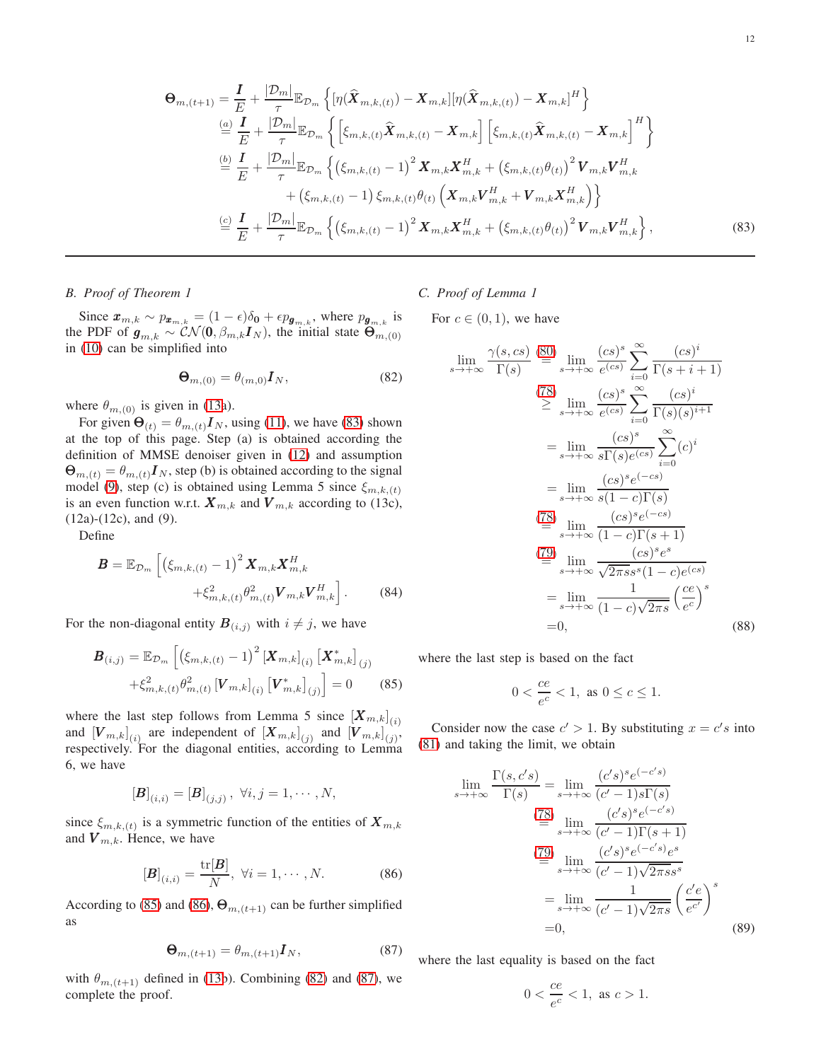$$
\Theta_{m,(t+1)} = \frac{I}{E} + \frac{|\mathcal{D}_m|}{\tau} \mathbb{E}_{\mathcal{D}_m} \left\{ [\eta(\hat{\mathbf{X}}_{m,k,(t)}) - \mathbf{X}_{m,k}] [\eta(\hat{\mathbf{X}}_{m,k,(t)}) - \mathbf{X}_{m,k}]^H \right\} \n\stackrel{(a)}{=} \frac{I}{E} + \frac{|\mathcal{D}_m|}{\tau} \mathbb{E}_{\mathcal{D}_m} \left\{ \left[ \xi_{m,k,(t)} \hat{\mathbf{X}}_{m,k,(t)} - \mathbf{X}_{m,k} \right] \left[ \xi_{m,k,(t)} \hat{\mathbf{X}}_{m,k,(t)} - \mathbf{X}_{m,k} \right]^H \right\} \n\stackrel{(b)}{=} \frac{I}{E} + \frac{|\mathcal{D}_m|}{\tau} \mathbb{E}_{\mathcal{D}_m} \left\{ \left( \xi_{m,k,(t)} - 1 \right)^2 \mathbf{X}_{m,k} \mathbf{X}_{m,k}^H + \left( \xi_{m,k,(t)} \theta_{(t)} \right)^2 \mathbf{V}_{m,k} \mathbf{V}_{m,k}^H \right. \n\left. + \left( \xi_{m,k,(t)} - 1 \right) \xi_{m,k,(t)} \theta_{(t)} \left( \mathbf{X}_{m,k} \mathbf{V}_{m,k}^H + \mathbf{V}_{m,k} \mathbf{X}_{m,k}^H \right) \right\} \n\stackrel{(c)}{=} \frac{I}{E} + \frac{|\mathcal{D}_m|}{\tau} \mathbb{E}_{\mathcal{D}_m} \left\{ \left( \xi_{m,k,(t)} - 1 \right)^2 \mathbf{X}_{m,k} \mathbf{X}_{m,k}^H + \left( \xi_{m,k,(t)} \theta_{(t)} \right)^2 \mathbf{V}_{m,k} \mathbf{V}_{m,k}^H \right\},
$$
\n(83)

*B. Proof of Theorem 1*

Since  $x_{m,k} \sim p_{x_{m,k}} = (1 - \epsilon) \delta_0 + \epsilon p_{\mathbf{g}_{m,k}}$ , where  $p_{\mathbf{g}_{m,k}}$  is the PDF of  $g_{m,k} \sim \mathcal{CN}(0, \beta_{m,k} I_N)$ , the initial state  $\Theta_{m,(0)}$ in [\(10\)](#page-3-5) can be simplified into

$$
\mathbf{\Theta}_{m,(0)} = \theta_{(m,0)} \mathbf{I}_N,\tag{82}
$$

where  $\theta_{m,(0)}$  is given in [\(13a](#page-3-2)).

For given  $\Theta_{(t)} = \theta_{m,(t)} I_N$ , using [\(11\)](#page-3-1), we have [\(83\)](#page-11-0) shown at the top of this page. Step (a) is obtained according the definition of MMSE denoiser given in [\(12\)](#page-3-0) and assumption  $\mathbf{\Theta}_{m,(t)} = \theta_{m,(t)} \mathbf{I}_N$ , step (b) is obtained according to the signal model [\(9\)](#page-3-4), step (c) is obtained using Lemma 5 since  $\xi_{m,k,(t)}$ is an even function w.r.t.  $\mathbf{X}_{m,k}$  and  $\mathbf{V}_{m,k}$  according to (13c), (12a)-(12c), and (9).

Define

$$
\mathbf{B} = \mathbb{E}_{\mathcal{D}_m} \left[ \left( \xi_{m,k,(t)} - 1 \right)^2 \mathbf{X}_{m,k} \mathbf{X}_{m,k}^H + \xi_{m,k,(t)}^2 \theta_{m,(t)}^2 \mathbf{V}_{m,k} \mathbf{V}_{m,k}^H \right].
$$
 (84)

For the non-diagonal entity  $\mathbf{B}_{(i,j)}$  with  $i \neq j$ , we have

$$
\boldsymbol{B}_{(i,j)} = \mathbb{E}_{\mathcal{D}_m} \left[ \left( \xi_{m,k,(t)} - 1 \right)^2 \left[ \boldsymbol{X}_{m,k} \right]_{(i)} \left[ \boldsymbol{X}_{m,k}^* \right]_{(j)} \right. \\ \left. + \xi_{m,k,(t)}^2 \theta_{m,(t)}^2 \left[ \boldsymbol{V}_{m,k} \right]_{(i)} \left[ \boldsymbol{V}_{m,k}^* \right]_{(j)} \right] = 0 \tag{85}
$$

where the last step follows from Lemma 5 since  $[X_{m,k}]_{(i)}$ and  $[\boldsymbol{V}_{m,k}]_{(i)}$  are independent of  $[\boldsymbol{X}_{m,k}]_{(j)}$  and  $[\boldsymbol{V}_{m,k}]_{(j)}$ , respectively. For the diagonal entities, according to Lemma 6, we have

$$
[\bm{B}]_{(i,i)} = [\bm{B}]_{(j,j)}, \ \forall i,j = 1,\cdots,N,
$$

since  $\xi_{m,k,(t)}$  is a symmetric function of the entities of  $\boldsymbol{X}_{m,k}$ and  $V_{m,k}$ . Hence, we have

$$
[\boldsymbol{B}]_{(i,i)} = \frac{\text{tr}[\boldsymbol{B}]}{N}, \ \forall i = 1, \cdots, N. \tag{86}
$$

According to [\(85\)](#page-11-1) and [\(86\)](#page-11-2),  $\Theta_{m,(t+1)}$  can be further simplified as

$$
\mathbf{\Theta}_{m,(t+1)} = \theta_{m,(t+1)} \mathbf{I}_N,\tag{87}
$$

with  $\theta_{m,(t+1)}$  defined in [\(13b](#page-3-2)). Combining [\(82\)](#page-11-3) and [\(87\)](#page-11-4), we complete the proof.

# *C. Proof of Lemma 1*

<span id="page-11-3"></span>For  $c \in (0,1)$ , we have

<span id="page-11-0"></span>
$$
\lim_{s \to +\infty} \frac{\gamma(s, cs)}{\Gamma(s)} \stackrel{\text{(80)}}{=} \lim_{s \to +\infty} \frac{(cs)^s}{e^{(cs)}} \sum_{i=0}^{\infty} \frac{(cs)^i}{\Gamma(s+i+1)}
$$
\n
$$
\stackrel{\text{(78)}}{\geq} \lim_{s \to +\infty} \frac{(cs)^s}{e^{(cs)}} \sum_{i=0}^{\infty} \frac{(cs)^i}{\Gamma(s)(s)^{i+1}}
$$
\n
$$
= \lim_{s \to +\infty} \frac{(cs)^s}{s\Gamma(s)e^{(cs)}} \sum_{i=0}^{\infty} (c)^i
$$
\n
$$
= \lim_{s \to +\infty} \frac{(cs)^s e^{(-cs)}}{s(1-c)\Gamma(s)}
$$
\n
$$
\stackrel{\text{(78)}}{=} \lim_{s \to +\infty} \frac{(cs)^s e^{(-cs)}}{(1-c)\Gamma(s+1)}
$$
\n
$$
\stackrel{\text{(79)}}{=} \lim_{s \to +\infty} \frac{(cs)^s e^s}{\sqrt{2\pi s} s^s (1-c)e^{(cs)}}
$$
\n
$$
= \lim_{s \to +\infty} \frac{1}{(1-c)\sqrt{2\pi s}} \left(\frac{ce}{e^c}\right)^s
$$
\n
$$
= 0,
$$
\n(88)

<span id="page-11-1"></span>where the last step is based on the fact

$$
0 < \frac{ce}{e^c} < 1, \text{ as } 0 \le c \le 1.
$$

Consider now the case  $c' > 1$ . By substituting  $x = c's$  into [\(81\)](#page-10-6) and taking the limit, we obtain

$$
\lim_{s \to +\infty} \frac{\Gamma(s, c's)}{\Gamma(s)} = \lim_{s \to +\infty} \frac{(c's)^s e^{(-c's)}}{(c'-1)s\Gamma(s)}
$$
\n
$$
\stackrel{(78)}{=} \lim_{s \to +\infty} \frac{(c's)^s e^{(-c's)}}{(c'-1)\Gamma(s+1)}
$$
\n
$$
\stackrel{(79)}{=} \lim_{s \to +\infty} \frac{(c's)^s e^{(-c's)} e^s}{(c'-1)\sqrt{2\pi s} s^s}
$$
\n
$$
= \lim_{s \to +\infty} \frac{1}{(c'-1)\sqrt{2\pi s}} \left(\frac{c'e}{e^{c'}}\right)^s
$$
\n
$$
= 0,
$$
\n(89)

<span id="page-11-4"></span><span id="page-11-2"></span>where the last equality is based on the fact

$$
0 < \frac{ce}{e^c} < 1, \text{ as } c > 1.
$$